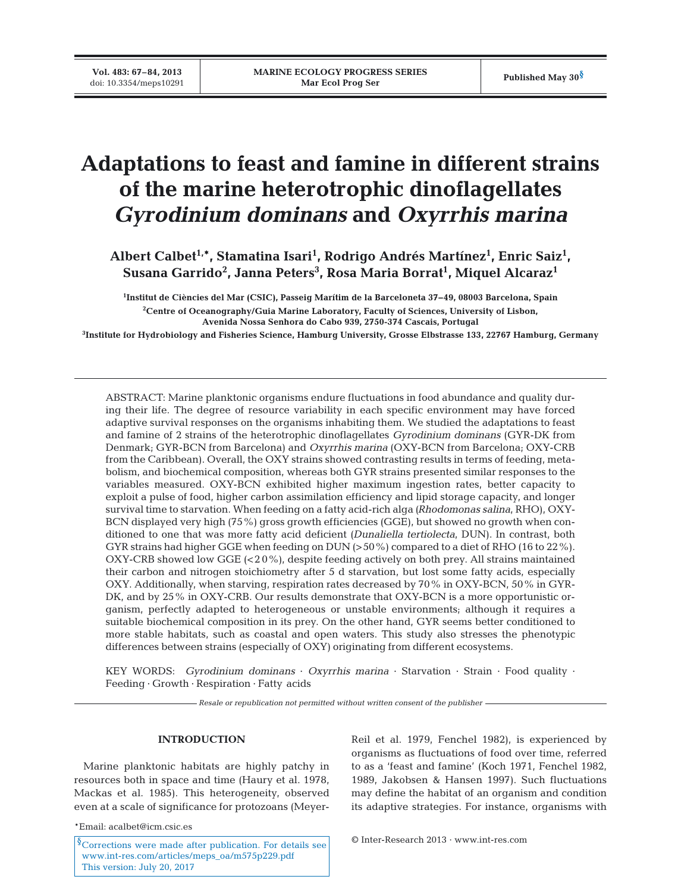**Vol. 483: 67–84, 2013**

# **Adaptations to feast and famine in different strains of the marine heterotrophic dinoflagellates**  *Gyrodinium dominans* **and** *Oxyrrhis marina*

Albert Calbet<sup>1,</sup>\*, Stamatina Isari<sup>1</sup>, Rodrigo Andrés Martínez<sup>1</sup>, Enric Saiz<sup>1</sup>, **Susana Garrido2 , Janna Peters3 , Rosa Maria Borrat1 , Miquel Alcaraz1**

**1 Institut de Ciències del Mar (CSIC), Passeig Marítim de la Barceloneta 37−49, 08003 Barcelona, Spain 2 Centre of Oceanography/Guia Marine Laboratory, Faculty of Sciences, University of Lisbon, Avenida Nossa Senhora do Cabo 939, 2750-374 Cascais, Portugal**

**3 Institute for Hydrobiology and Fisheries Science, Hamburg University, Grosse Elbstrasse 133, 22767 Hamburg, Germany**

ABSTRACT: Marine planktonic organisms endure fluctuations in food abundance and quality during their life. The degree of resource variability in each specific environment may have forced adaptive survival responses on the organisms inhabiting them. We studied the adaptations to feast and famine of 2 strains of the heterotrophic dinoflagellates *Gyrodinium dominans* (GYR-DK from Denmark; GYR-BCN from Barcelona) and *Oxyrrhis marina* (OXY-BCN from Barcelona; OXY-CRB from the Caribbean). Overall, the OXY strains showed contrasting results in terms of feeding, metabolism, and biochemical composition, whereas both GYR strains presented similar responses to the variables measured. OXY-BCN exhibited higher maximum ingestion rates, better capacity to exploit a pulse of food, higher carbon assimilation efficiency and lipid storage capacity, and longer survival time to starvation. When feeding on a fatty acid-rich alga *(Rhodomonas salina*, RHO), OXY-BCN displayed very high (75%) gross growth efficiencies (GGE), but showed no growth when conditioned to one that was more fatty acid deficient *(Dunaliella tertiolecta*, DUN). In contrast, both GYR strains had higher GGE when feeding on DUN (>50%) compared to a diet of RHO (16 to 22%). OXY-CRB showed low GGE  $( $20\%$ )$ , despite feeding actively on both prey. All strains maintained their carbon and nitrogen stoichiometry after 5 d starvation, but lost some fatty acids, especially OXY. Additionally, when starving, respiration rates decreased by 70% in OXY-BCN, 50% in GYR-DK, and by 25% in OXY-CRB. Our results demonstrate that OXY-BCN is a more opportunistic organism, perfectly adapted to heterogeneous or unstable environments; although it requires a suitable biochemical composition in its prey. On the other hand, GYR seems better conditioned to more stable habitats, such as coastal and open waters. This study also stresses the phenotypic differences between strains (especially of OXY) originating from different ecosystems.

KEY WORDS: *Gyrodinium dominans* · *Oxyrrhis marina* · Starvation · Strain · Food quality · Feeding · Growth · Respiration · Fatty acids

*Resale or republication not permitted without written consent of the publisher*

## **INTRODUCTION**

Marine planktonic habitats are highly patchy in resources both in space and time (Haury et al. 1978, Mackas et al. 1985). This heterogeneity, observed even at a scale of significance for protozoans (Meyer-

\*Email: acalbet@icm.csic.es

<sup>§</sup>Corrections were made after publication. For details see [www.int-res. com/articles/meps\\_oa/m575p229.pdf](http://www.int-res.com/articles/meps_oa/m575p229.pdf) This version: July 20, 2017

Reil et al. 1979, Fenchel 1982), is experienced by organisms as fluctuations of food over time, referred to as a 'feast and famine' (Koch 1971, Fenchel 1982, 1989, Jakobsen & Hansen 1997). Such fluctuations may define the habitat of an organism and condition its adaptive strategies. For instance, organisms with

© Inter-Research 2013 · www.int-res.com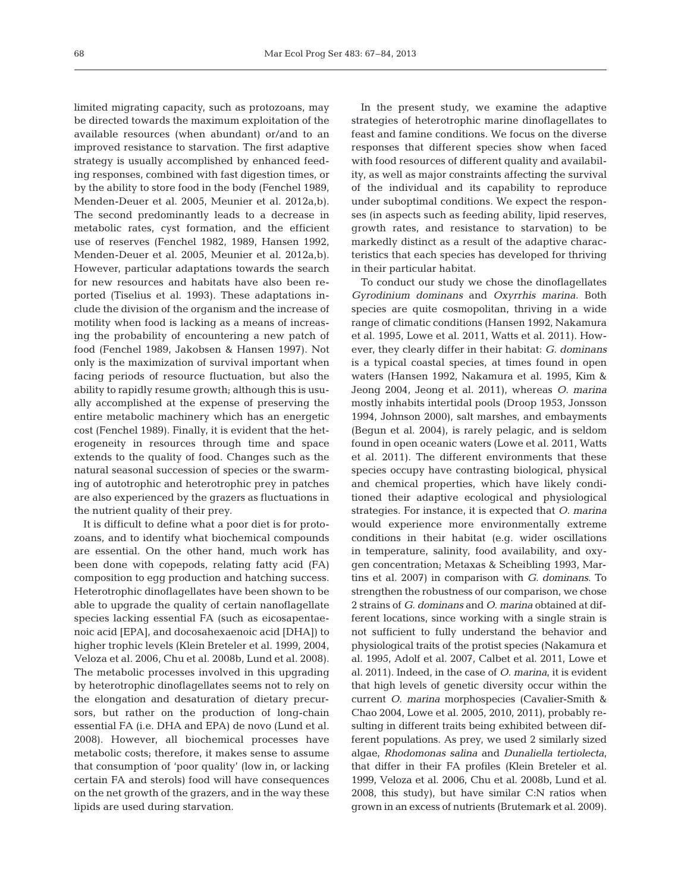limited migrating capacity, such as protozoans, may be directed towards the maximum exploitation of the available resources (when abundant) or/and to an improved resistance to starvation. The first adaptive strategy is usually accomplished by enhanced feeding responses, combined with fast digestion times, or by the ability to store food in the body (Fenchel 1989, Menden-Deuer et al. 2005, Meunier et al. 2012a,b). The second predominantly leads to a decrease in metabolic rates, cyst formation, and the efficient use of reserves (Fenchel 1982, 1989, Hansen 1992, Menden-Deuer et al. 2005, Meunier et al. 2012a,b). However, particular adaptations towards the search for new resources and habitats have also been reported (Tiselius et al. 1993). These adaptations include the division of the organism and the increase of motility when food is lacking as a means of increasing the probability of encountering a new patch of food (Fenchel 1989, Jakobsen & Hansen 1997). Not only is the maximization of survival important when facing periods of resource fluctuation, but also the ability to rapidly resume growth; although this is usually accomplished at the expense of preserving the entire metabolic machinery which has an energetic cost (Fenchel 1989). Finally, it is evident that the heterogeneity in resources through time and space extends to the quality of food. Changes such as the natural seasonal succession of species or the swarming of autotrophic and heterotrophic prey in patches are also experienced by the grazers as fluctuations in the nutrient quality of their prey.

It is difficult to define what a poor diet is for protozoans, and to identify what biochemical compounds are essential. On the other hand, much work has been done with copepods, relating fatty acid (FA) composition to egg production and hatching success. Heterotrophic dinoflagellates have been shown to be able to upgrade the quality of certain nanoflagellate species lacking essential FA (such as eicosapentae noic acid [EPA], and docosahexaenoic acid [DHA]) to higher trophic levels (Klein Breteler et al. 1999, 2004, Veloza et al. 2006, Chu et al. 2008b, Lund et al. 2008). The metabolic processes involved in this upgrading by heterotrophic dinoflagellates seems not to rely on the elongation and desaturation of dietary precursors, but rather on the production of long-chain essential FA (i.e. DHA and EPA) de novo (Lund et al. 2008). However, all biochemical processes have metabolic costs; therefore, it makes sense to assume that consumption of 'poor quality' (low in, or lacking certain FA and sterols) food will have consequences on the net growth of the grazers, and in the way these lipids are used during starvation.

In the present study, we examine the adaptive strategies of heterotrophic marine dinoflagellates to feast and famine conditions. We focus on the diverse responses that different species show when faced with food resources of different quality and availability, as well as major constraints affecting the survival of the individual and its capability to reproduce under suboptimal conditions. We expect the responses (in aspects such as feeding ability, lipid reserves, growth rates, and resistance to starvation) to be mark edly distinct as a result of the adaptive characteristics that each species has developed for thriving in their particular habitat.

To conduct our study we chose the dinoflagellates *Gyrodinium dominans* and *Oxyrrhis marina*. Both species are quite cosmopolitan, thriving in a wide range of climatic conditions (Hansen 1992, Nakamura et al. 1995, Lowe et al. 2011, Watts et al. 2011). However, they clearly differ in their habitat: *G. dominans* is a typical coastal species, at times found in open waters (Hansen 1992, Nakamura et al. 1995, Kim & Jeong 2004, Jeong et al. 2011), whereas *O. marina* mostly inhabits intertidal pools (Droop 1953, Jonsson 1994, Johnson 2000), salt marshes, and embayments (Begun et al. 2004), is rarely pelagic, and is seldom found in open oceanic waters (Lowe et al. 2011, Watts et al. 2011). The different environments that these species occupy have contrasting biological, physical and chemical properties, which have likely conditioned their adaptive ecological and physiological strategies. For instance, it is expected that *O. marina* would experience more environmentally extreme conditions in their habitat (e.g. wider oscillations in temperature, salinity, food availability, and oxygen concentration; Metaxas & Scheibling 1993, Martins et al. 2007) in comparison with *G. dominans*. To strengthen the robustness of our comparison, we chose 2 strains of *G. dominans* and *O. marina* obtained at different locations, since working with a single strain is not sufficient to fully understand the behavior and physiological traits of the protist species (Nakamura et al. 1995, Adolf et al. 2007, Calbet et al. 2011, Lowe et al. 2011). Indeed, in the case of *O. marina*, it is evident that high levels of genetic diversity occur within the current *O. marina* morphospecies (Cavalier-Smith & Chao 2004, Lowe et al. 2005, 2010, 2011), probably re sulting in different traits being exhibited between different populations. As prey, we used 2 similarly sized algae, *Rhodo mo nas salina* and *Dunaliella tertiolecta*, that differ in their FA profiles (Klein Breteler et al. 1999, Veloza et al. 2006, Chu et al. 2008b, Lund et al. 2008, this study), but have similar C:N ratios when grown in an excess of nutrients (Brutemark et al. 2009).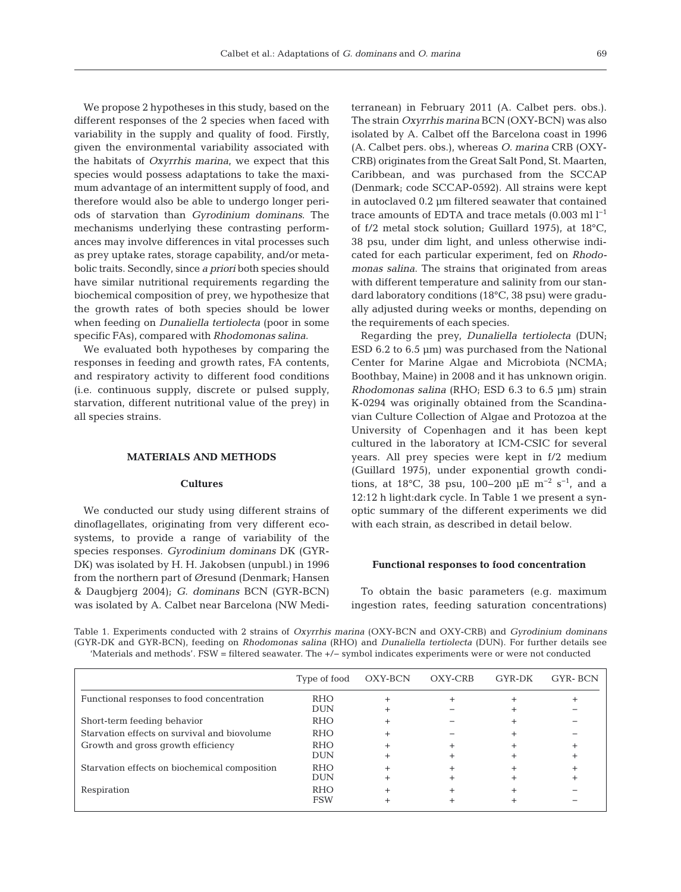We propose 2 hypotheses in this study, based on the different responses of the 2 species when faced with variability in the supply and quality of food. Firstly, given the environmental variability associated with the habitats of *Oxyrrhis marina*, we expect that this species would possess adaptations to take the maximum advantage of an intermittent supply of food, and therefore would also be able to undergo longer periods of starvation than *Gyrodinium dominans*. The mechanisms underlying these contrasting performances may involve differences in vital processes such as prey uptake rates, storage capability, and/or metabolic traits. Secondly, since *a priori* both species should have similar nutritional requirements regarding the biochemical composition of prey, we hypothesize that the growth rates of both species should be lower when feeding on *Dunaliella tertiolecta* (poor in some specific FAs), compared with *Rhodomonas salina*.

We evaluated both hypotheses by comparing the responses in feeding and growth rates, FA contents, and respiratory activity to different food conditions (i.e. continuous supply, discrete or pulsed supply, starvation, different nutritional value of the prey) in all species strains.

## **MATERIALS AND METHODS**

## **Cultures**

We conducted our study using different strains of dinoflagellates, originating from very different ecosystems, to provide a range of variability of the species responses. *Gyrodinium dominans* DK (GYR-DK) was isolated by H. H. Jakobsen (unpubl.) in 1996 from the northern part of Øresund (Denmark; Hansen & Daugbjerg 2004); *G. dominans* BCN (GYR-BCN) was isolated by A. Calbet near Barcelona (NW Mediterranean) in February 2011 (A. Calbet pers. obs.). The strain *Oxyrrhis marina* BCN (OXY-BCN) was also isolated by A. Calbet off the Barcelona coast in 1996 (A. Calbet pers. obs.), whereas *O. ma rina* CRB (OXY-CRB) originates from the Great Salt Pond, St. Maarten, Caribbean, and was purchased from the SCCAP (Denmark; code SCCAP-0592). All strains were kept in autoclaved 0.2 µm filtered seawater that contained trace amounts of EDTA and trace metals  $(0.003 \text{ ml } l^{-1})$ of f/2 metal stock solution; Guillard 1975), at 18°C, 38 psu, under dim light, and unless otherwise indicated for each particular experiment, fed on *Rhodo monas salina*. The strains that originated from areas with different temperature and salinity from our standard laboratory conditions (18°C, 38 psu) were gradually adjusted during weeks or months, depending on the requirements of each species.

Regarding the prey, *Dunaliella tertiolecta* (DUN; ESD 6.2 to 6.5 µm) was purchased from the National Center for Marine Algae and Microbiota (NCMA; Boothbay, Maine) in 2008 and it has unknown origin. *Rhodomonas salina* (RHO; ESD 6.3 to 6.5 µm) strain K-0294 was originally obtained from the Scandinavian Culture Collection of Algae and Protozoa at the University of Copenhagen and it has been kept cultured in the laboratory at ICM-CSIC for several years. All prey species were kept in f/2 medium (Guillard 1975), under exponential growth conditions, at 18°C, 38 psu, 100–200 µE m<sup>-2</sup> s<sup>-1</sup>, and a 12:12 h light:dark cycle. In Table 1 we present a synoptic summary of the different experiments we did with each strain, as described in detail below.

#### **Functional responses to food concentration**

To obtain the basic parameters (e.g. maximum ingestion rates, feeding saturation concentrations)

Table 1. Experiments conducted with 2 strains of *Oxyrrhis marina* (OXY-BCN and OXY-CRB) and *Gyrodinium dominans* (GYR-DK and GYR-BCN), feeding on *Rhodomonas salina* (RHO) and *Dunaliella tertiolecta* (DUN). For further details see 'Materials and methods'. FSW = filtered seawater. The +/− symbol indicates experiments were or were not conducted

|                                               | Type of food      | OXY-BCN | OXY-CRB | GYR-DK | <b>GYR-BCN</b> |
|-----------------------------------------------|-------------------|---------|---------|--------|----------------|
| Functional responses to food concentration    | <b>RHO</b><br>DUN |         |         |        |                |
| Short-term feeding behavior                   | <b>RHO</b>        |         |         |        |                |
| Starvation effects on survival and biovolume  | <b>RHO</b>        |         |         |        |                |
| Growth and gross growth efficiency            | <b>RHO</b>        |         |         |        |                |
|                                               | <b>DUN</b>        |         |         |        |                |
| Starvation effects on biochemical composition | <b>RHO</b>        |         |         |        |                |
|                                               | DUN               |         |         |        |                |
| Respiration                                   | <b>RHO</b>        |         |         |        |                |
|                                               | <b>FSW</b>        |         |         |        |                |
|                                               |                   |         |         |        |                |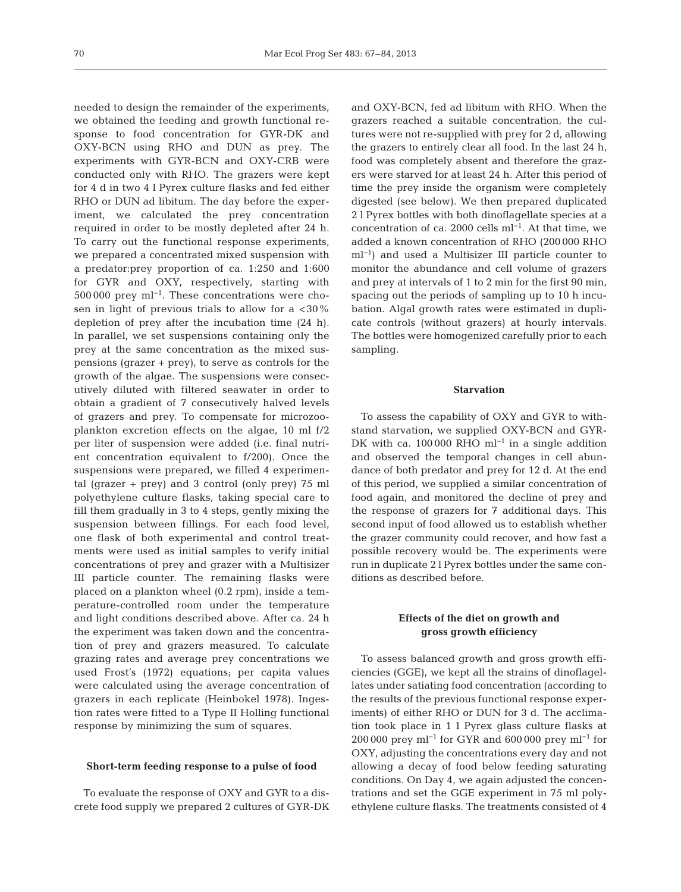needed to design the remainder of the experiments, we obtained the feeding and growth functional response to food concentration for GYR-DK and OXY-BCN using RHO and DUN as prey. The experiments with GYR-BCN and OXY-CRB were conducted only with RHO. The grazers were kept for 4 d in two 4 l Pyrex culture flasks and fed either RHO or DUN ad libitum. The day before the experiment, we calculated the prey concentration required in order to be mostly depleted after 24 h. To carry out the functional response experiments, we prepared a concentrated mixed suspension with a predator:prey proportion of ca. 1:250 and 1:600 for GYR and OXY, respectively, starting with 500 000 prey ml−1. These concentrations were chosen in light of previous trials to allow for a  $<30\%$ depletion of prey after the incubation time (24 h). In parallel, we set suspensions containing only the prey at the same concentration as the mixed suspensions (grazer + prey), to serve as controls for the growth of the algae. The suspensions were consecutively diluted with filtered seawater in order to obtain a gradient of 7 consecutively halved levels of grazers and prey. To compensate for microzooplankton excretion effects on the algae, 10 ml f/2 per liter of suspension were added (i.e. final nutrient concentration equivalent to f/200). Once the suspensions were prepared, we filled 4 experimental (grazer + prey) and 3 control (only prey) 75 ml polyethylene culture flasks, taking special care to fill them gradually in 3 to 4 steps, gently mixing the suspension between fillings. For each food level, one flask of both experimental and control treatments were used as initial samples to verify initial concentrations of prey and grazer with a Multisizer III particle counter. The remaining flasks were placed on a plankton wheel (0.2 rpm), inside a temperature- controlled room under the temperature and light conditions described above. After ca. 24 h the experiment was taken down and the concentration of prey and grazers measured. To calculate grazing rates and average prey concentrations we used Frost's (1972) equations; per capita values were calculated using the average concentration of grazers in each replicate (Heinbokel 1978). Ingestion rates were fitted to a Type II Holling functional response by minimizing the sum of squares.

#### **Short-term feeding response to a pulse of food**

To evaluate the response of OXY and GYR to a discrete food supply we prepared 2 cultures of GYR-DK and OXY-BCN, fed ad libitum with RHO. When the grazers reached a suitable concentration, the cultures were not re-supplied with prey for 2 d, allowing the grazers to entirely clear all food. In the last 24 h, food was completely absent and therefore the grazers were starved for at least 24 h. After this period of time the prey inside the organism were completely digested (see below). We then prepared duplicated 2 l Pyrex bottles with both dinoflagellate species at a concentration of ca. 2000 cells ml−1. At that time, we added a known concentration of RHO (200 000 RHO ml−1) and used a Multisizer III particle counter to monitor the abundance and cell volume of grazers and prey at intervals of 1 to 2 min for the first 90 min, spacing out the periods of sampling up to 10 h incubation. Algal growth rates were estimated in duplicate controls (without grazers) at hourly intervals. The bottles were homogenized carefully prior to each sampling.

#### **Starvation**

To assess the capability of OXY and GYR to withstand starvation, we supplied OXY-BCN and GYR-DK with ca. 100 000 RHO ml<sup>-1</sup> in a single addition and observed the temporal changes in cell abundance of both predator and prey for 12 d. At the end of this period, we supplied a similar concentration of food again, and monitored the decline of prey and the response of grazers for 7 additional days. This second input of food allowed us to establish whether the grazer community could recover, and how fast a possible recovery would be. The experiments were run in duplicate 2 l Pyrex bottles under the same conditions as described before.

# **Effects of the diet on growth and gross growth efficiency**

To assess balanced growth and gross growth efficiencies (GGE), we kept all the strains of dinoflagellates under satiating food concentration (according to the results of the previous functional response experiments) of either RHO or DUN for 3 d. The acclimation took place in 1 l Pyrex glass culture flasks at 200 000 prey ml−1 for GYR and 600 000 prey ml−1 for OXY, adjusting the concentrations every day and not allowing a decay of food below feeding saturating conditions. On Day 4, we again adjusted the concentrations and set the GGE experiment in 75 ml polyethylene culture flasks. The treatments consisted of 4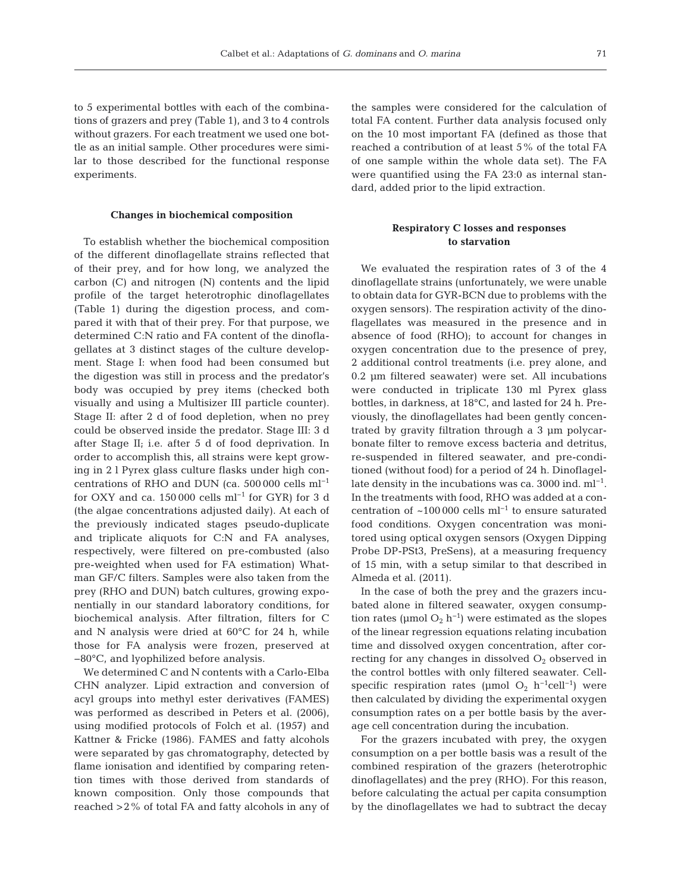to 5 experimental bottles with each of the combinations of grazers and prey (Table 1), and 3 to 4 controls without grazers. For each treatment we used one bottle as an initial sample. Other procedures were similar to those described for the functional response experiments.

## **Changes in biochemical composition**

To establish whether the biochemical composition of the different dinoflagellate strains reflected that of their prey, and for how long, we analyzed the carbon (C) and nitrogen (N) contents and the lipid profile of the target heterotrophic dinoflagellates (Table 1) during the digestion process, and compared it with that of their prey. For that purpose, we determined C:N ratio and FA content of the dinoflagellates at 3 distinct stages of the culture development. Stage I: when food had been consumed but the digestion was still in process and the predator's body was occupied by prey items (checked both visually and using a Multisizer III particle counter). Stage II: after 2 d of food depletion, when no prey could be observed inside the predator. Stage III: 3 d after Stage II; i.e. after 5 d of food deprivation. In order to accomplish this, all strains were kept growing in 2 l Pyrex glass culture flasks under high concentrations of RHO and DUN (ca. 500 000 cells ml−1 for OXY and ca. 150 000 cells ml<sup>-1</sup> for GYR) for 3 d (the algae concentrations adjusted daily). At each of the previously indicated stages pseudo-duplicate and triplicate aliquots for C:N and FA analyses, respectively, were filtered on pre-combusted (also pre-weighted when used for FA estimation) Whatman GF/C filters. Samples were also taken from the prey (RHO and DUN) batch cultures, growing exponentially in our standard laboratory conditions, for biochemical analysis. After filtration, filters for C and N analysis were dried at 60°C for 24 h, while those for FA analysis were frozen, preserved at −80°C, and lyophilized before analysis.

We determined C and N contents with a Carlo-Elba CHN analyzer. Lipid extraction and conversion of acyl groups into methyl ester derivatives (FAMES) was performed as described in Peters et al. (2006), using modified protocols of Folch et al. (1957) and Kattner & Fricke (1986). FAMES and fatty alcohols were separated by gas chromatography, detected by flame ionisation and identified by comparing retention times with those derived from standards of known composition. Only those compounds that reached >2% of total FA and fatty alcohols in any of the samples were considered for the calculation of total FA content. Further data analysis focused only on the 10 most important FA (defined as those that reached a contribution of at least 5% of the total FA of one sample within the whole data set). The FA were quantified using the FA 23:0 as internal standard, added prior to the lipid extraction.

## **Respiratory C losses and responses to starvation**

We evaluated the respiration rates of 3 of the 4 dinoflagellate strains (unfortunately, we were unable to obtain data for GYR-BCN due to problems with the oxygen sensors). The respiration activity of the dinoflagellates was measured in the presence and in absence of food (RHO); to account for changes in oxygen concentration due to the presence of prey, 2 additional control treatments (i.e. prey alone, and 0.2 µm filtered seawater) were set. All incubations were conducted in triplicate 130 ml Pyrex glass bottles, in darkness, at 18°C, and lasted for 24 h. Previously, the dinoflagellates had been gently concentrated by gravity filtration through a 3 µm polycarbonate filter to remove excess bacteria and detritus, re-suspended in filtered seawater, and pre-conditioned (without food) for a period of 24 h. Dinoflagellate density in the incubations was ca. 3000 ind. ml<sup>-1</sup>. In the treatments with food, RHO was added at a concentration of ~100 000 cells ml<sup>-1</sup> to ensure saturated food conditions. Oxygen concentration was monitored using optical oxygen sensors (Oxygen Dipping Probe DP-PSt3, PreSens), at a measuring frequency of 15 min, with a setup similar to that described in Almeda et al. (2011).

In the case of both the prey and the grazers incubated alone in filtered seawater, oxygen consumption rates (µmol  $O_2$  h<sup>-1</sup>) were estimated as the slopes of the linear regression equations relating incubation time and dissolved oxygen concentration, after correcting for any changes in dissolved  $O<sub>2</sub>$  observed in the control bottles with only filtered seawater. Cellspecific respiration rates (µmol O<sub>2</sub> h<sup>-1</sup>cell<sup>-1</sup>) were then calculated by dividing the experimental oxygen consumption rates on a per bottle basis by the average cell concentration during the incubation.

For the grazers incubated with prey, the oxygen consumption on a per bottle basis was a result of the combined respiration of the grazers (heterotrophic dinoflagellates) and the prey (RHO). For this reason, before calculating the actual per capita consumption by the dinoflagellates we had to subtract the decay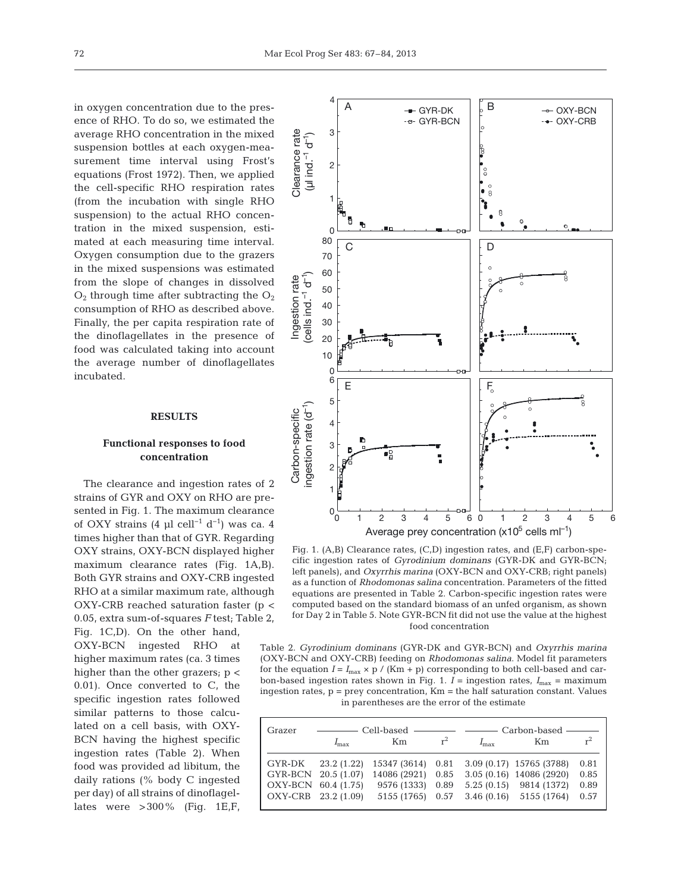in oxygen concentration due to the presence of RHO. To do so, we estimated the average RHO concentration in the mixed suspension bottles at each oxygen-measurement time interval using Frost's equations (Frost 1972). Then, we applied the cell-specific RHO respiration rates (from the incubation with single RHO suspension) to the actual RHO concentration in the mixed suspension, estimated at each measuring time interval. Oxygen consumption due to the grazers in the mixed suspensions was estimated from the slope of changes in dissolved  $O_2$  through time after subtracting the  $O_2$ consumption of RHO as described above. Finally, the per capita respiration rate of the dinoflagellates in the presence of food was calculated taking into account the average number of dinoflagellates incubated.

## **RESULTS**

# **Functional responses to food concentration**

The clearance and ingestion rates of 2 strains of GYR and OXY on RHO are presented in Fig. 1. The maximum clearance of OXY strains (4 µl cell<sup>-1</sup> d<sup>-1</sup>) was ca. 4 times higher than that of GYR. Regarding OXY strains, OXY-BCN displayed higher maximum clearance rates (Fig. 1A,B). Both GYR strains and OXY-CRB ingested RHO at a similar maximum rate, although OXY-CRB reached saturation faster (p < 0.05, extra sum-of-squares *F* test; Table 2, Fig. 1C,D). On the other hand, OXY-BCN ingested RHO at higher maximum rates (ca. 3 times higher than the other grazers;  $p <$ 0.01). Once converted to C, the specific ingestion rates followed similar patterns to those calculated on a cell basis, with OXY-BCN having the highest specific ingestion rates (Table 2). When food was provided ad libitum, the daily rations (% body C ingested per day) of all strains of dinoflagellates were  $>300\%$  (Fig. 1E,F,



Fig. 1. (A,B) Clearance rates, (C,D) ingestion rates, and (E,F) carbon-specific ingestion rates of *Gyrodinium dominans* (GYR-DK and GYR-BCN; left panels), and *Oxyrrhis marina* (OXY-BCN and OXY-CRB; right panels) as a function of *Rhodomonas salina* concentration. Parameters of the fitted equations are presented in Table 2. Carbon-specific ingestion rates were computed based on the standard biomass of an unfed organism, as shown for Day 2 in Table 5. Note GYR-BCN fit did not use the value at the highest food concentration

Table 2. *Gyrodinium dominans* (GYR-DK and GYR-BCN) and *Oxyrrhis marina* (OXY-BCN and OXY-CRB) feeding on *Rhodomonas salina*. Model fit parameters for the equation  $I = I_{\text{max}} \times p / (Km + p)$  corresponding to both cell-based and carbon-based ingestion rates shown in Fig. 1.  $I =$  ingestion rates,  $I_{\text{max}} =$  maximum ingestion rates, p = prey concentration, Km = the half saturation constant. Values in parentheses are the error of the estimate

| Grazer              | $r^2$               |                                                               |  |               | $r^2$                                    |      |
|---------------------|---------------------|---------------------------------------------------------------|--|---------------|------------------------------------------|------|
|                     | $I_{\rm max}$       | Km                                                            |  | $I_{\rm max}$ | Km                                       |      |
|                     |                     | GYR-DK 23.2 (1.22) 15347 (3614) 0.81 3.09 (0.17) 15765 (3788) |  |               |                                          | 0.81 |
|                     | GYR-BCN 20.5 (1.07) | 14086 (2921) 0.85 3.05 (0.16) 14086 (2920)                    |  |               |                                          | 0.85 |
| OXY-BCN 60.4 (1.75) |                     |                                                               |  |               | 9576 (1333) 0.89 5.25 (0.15) 9814 (1372) | 0.89 |
| OXY-CRB 23.2 (1.09) |                     |                                                               |  |               | 5155 (1765) 0.57 3.46 (0.16) 5155 (1764) | 0.57 |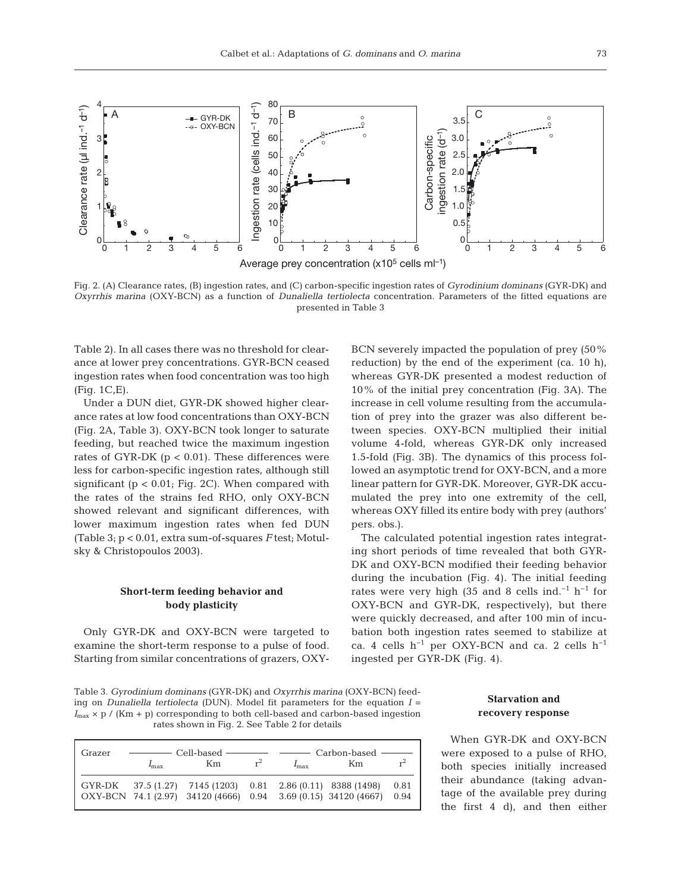

Fig. 2. (A) Clearance rates, (B) ingestion rates, and (C) carbon-specific ingestion rates of *Gyro dinium dominans* (GYR-DK) and *Oxyrrhis marina* (OXY-BCN) as a function of *Dunaliella tertiolecta* concentration. Parameters of the fitted equations are presented in Table 3

Table 2). In all cases there was no threshold for clearance at lower prey concentrations. GYR-BCN ceased ingestion rates when food concentration was too high (Fig. 1C,E).

Under a DUN diet, GYR-DK showed higher clearance rates at low food concentrations than OXY-BCN (Fig. 2A, Table 3). OXY-BCN took longer to saturate feeding, but reached twice the maximum ingestion rates of GYR-DK ( $p < 0.01$ ). These differences were less for carbon-specific ingestion rates, although still significant ( $p < 0.01$ ; Fig. 2C). When compared with the rates of the strains fed RHO, only OXY-BCN showed relevant and significant differences, with lower maximum ingestion rates when fed DUN (Table 3; p < 0.01, extra sum-of-squares *F* test; Motulsky & Christopoulos 2003).

# **Short-term feeding behavior and body plasticity**

Only GYR-DK and OXY-BCN were targeted to examine the short-term response to a pulse of food. Starting from similar concentrations of grazers, OXY-

BCN severely impacted the population of prey (50% reduction) by the end of the experiment (ca. 10 h), whereas GYR-DK presented a modest reduction of 10% of the initial prey concentration (Fig. 3A). The increase in cell volume resulting from the accumulation of prey into the grazer was also different be tween species. OXY-BCN multiplied their initial volume 4-fold, whereas GYR-DK only increased 1.5-fold (Fig. 3B). The dynamics of this process followed an asymptotic trend for OXY-BCN, and a more linear pattern for GYR-DK. Moreover, GYR-DK accumulated the prey into one extremity of the cell, whereas OXY filled its entire body with prey (authors' pers. obs.).

The calculated potential ingestion rates integrating short periods of time revealed that both GYR-DK and OXY-BCN modified their feeding behavior during the incubation (Fig. 4). The initial feeding rates were very high (35 and 8 cells ind.<sup>-1</sup> h<sup>-1</sup> for OXY-BCN and GYR-DK, respectively), but there were quickly decreased, and after 100 min of incubation both ingestion rates seemed to stabilize at ca. 4 cells h−1 per OXY-BCN and ca. 2 cells h−1 ingested per GYR-DK (Fig. 4).

Table 3. *Gyrodinium dominans* (GYR-DK) and *Oxyrrhis marina* (OXY-BCN) feeding on *Dunaliella tertiolecta* (DUN). Model fit parameters for the equation *I* =  $I_{\text{max}} \times p$  / (Km + p) corresponding to both cell-based and carbon-based ingestion rates shown in Fig. 2. See Table 2 for details

| Grazer |               |                                                                |       |               |    |       |
|--------|---------------|----------------------------------------------------------------|-------|---------------|----|-------|
|        | $I_{\rm max}$ | Km                                                             | $r^2$ | $I_{\rm max}$ | Km | $r^2$ |
|        |               | GYR-DK 37.5 (1.27) 7145 (1203) 0.81 2.86 (0.11) 8388 (1498)    |       |               |    | 0.81  |
|        |               | OXY-BCN 74.1 (2.97) 34120 (4666) 0.94 3.69 (0.15) 34120 (4667) |       |               |    | 0.94  |

## **Starvation and recovery response**

When GYR-DK and OXY-BCN were exposed to a pulse of RHO, both species initially increased their abundance (taking advantage of the available prey during the first 4 d), and then either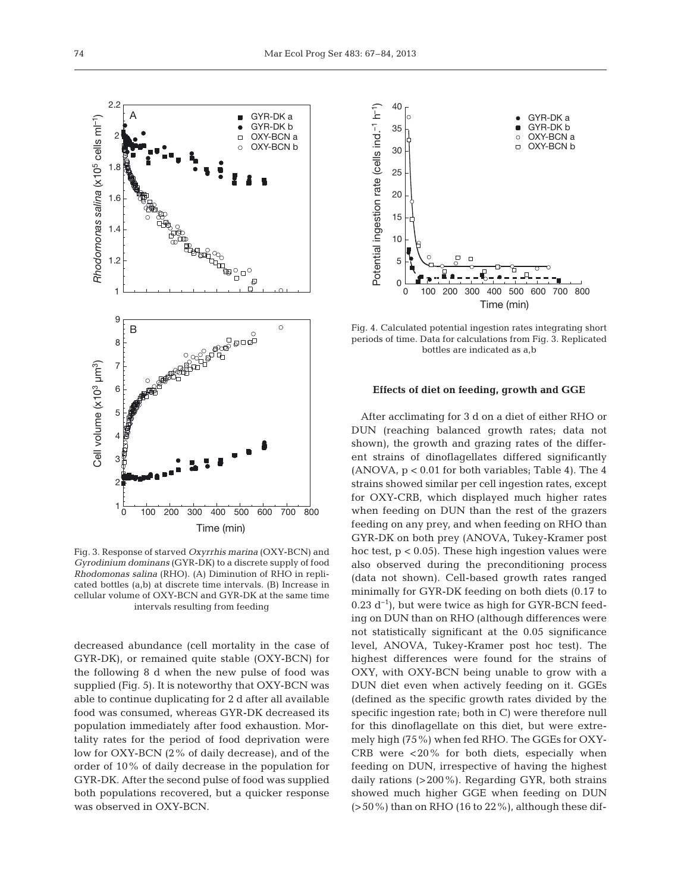

Fig. 3. Response of starved *Oxyrrhis marina* (OXY-BCN) and *Gyrodinium dominans* (GYR-DK) to a discrete supply of food *Rhodomonas salina* (RHO). (A) Diminution of RHO in replicated bottles (a,b) at discrete time intervals. (B) Increase in cellular volume of OXY-BCN and GYR-DK at the same time intervals resulting from feeding

decreased abundance (cell mortality in the case of GYR-DK), or remained quite stable (OXY-BCN) for the following 8 d when the new pulse of food was supplied (Fig. 5). It is noteworthy that OXY-BCN was able to continue duplicating for 2 d after all available food was consumed, whereas GYR-DK decreased its population immediately after food exhaustion. Mortality rates for the period of food deprivation were low for OXY-BCN (2% of daily decrease), and of the order of 10% of daily decrease in the population for GYR-DK. After the second pulse of food was supplied both populations recovered, but a quicker response was observed in OXY-BCN.



Fig. 4. Calculated potential ingestion rates integrating short periods of time. Data for calculations from Fig. 3. Replicated bottles are indicated as a,b

#### **Effects of diet on feeding, growth and GGE**

After acclimating for 3 d on a diet of either RHO or DUN (reaching balanced growth rates; data not shown), the growth and grazing rates of the different strains of dinoflagellates differed significantly (ANOVA, p < 0.01 for both variables; Table 4). The 4 strains showed similar per cell ingestion rates, except for OXY-CRB, which displayed much higher rates when feeding on DUN than the rest of the grazers feeding on any prey, and when feeding on RHO than GYR-DK on both prey (ANOVA, Tukey-Kramer post hoc test,  $p < 0.05$ ). These high ingestion values were also observed during the preconditioning process (data not shown). Cell-based growth rates ranged minimally for GYR-DK feeding on both diets (0.17 to  $0.23$  d<sup>-1</sup>), but were twice as high for GYR-BCN feeding on DUN than on RHO (although differences were not statistically significant at the 0.05 significance level, ANOVA, Tukey-Kramer post hoc test). The highest differences were found for the strains of OXY, with OXY-BCN being unable to grow with a DUN diet even when actively feeding on it. GGEs (defined as the specific growth rates divided by the specific ingestion rate; both in C) were therefore null for this dinoflagellate on this diet, but were extremely high (75%) when fed RHO. The GGEs for OXY-CRB were <20% for both diets, especially when feeding on DUN, irrespective of having the highest daily rations (>200%). Regarding GYR, both strains showed much higher GGE when feeding on DUN  $(>50\%)$  than on RHO (16 to 22%), although these dif-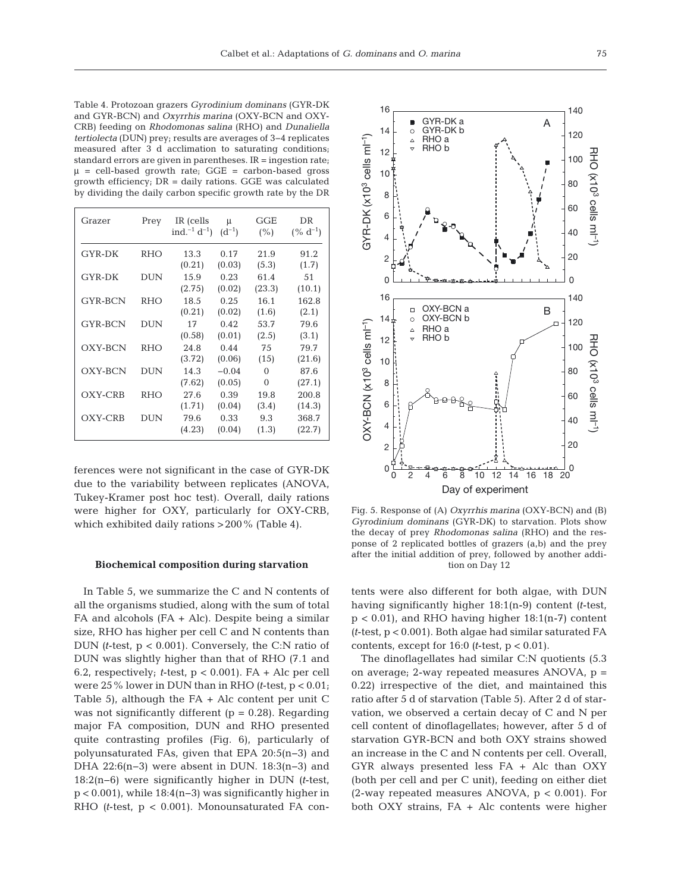Table 4. Protozoan grazers *Gyrodinium dominans* (GYR-DK and GYR-BCN) and *Oxyrrhis marina* (OXY-BCN and OXY-CRB) feeding on *Rhodomonas salina* (RHO) and *Dunaliella tertiolecta* (DUN) prey; results are averages of 3−4 replicates measured after 3 d acclimation to saturating conditions; standard errors are given in parentheses. IR = ingestion rate;  $\mu$  = cell-based growth rate; GGE = carbon-based gross growth efficiency; DR = daily rations. GGE was calculated by dividing the daily carbon specific growth rate by the DR

| Grazer         | Prey       | IR (cells<br>ind. <sup>-1</sup> d <sup>-1</sup> ) | μ<br>$(d^{-1})$ | GGE<br>(%)     | DR<br>$($ % d <sup>-1</sup> ) |
|----------------|------------|---------------------------------------------------|-----------------|----------------|-------------------------------|
| <b>GYR-DK</b>  | <b>RHO</b> | 13.3                                              | 0.17            | 21.9           | 91.2                          |
| <b>GYR-DK</b>  | <b>DUN</b> | (0.21)<br>15.9                                    | (0.03)<br>0.23  | (5.3)<br>61.4  | (1.7)<br>51                   |
| <b>GYR-BCN</b> | <b>RHO</b> | (2.75)<br>18.5                                    | (0.02)<br>0.25  | (23.3)<br>16.1 | (10.1)<br>162.8               |
|                |            | (0.21)                                            | (0.02)          | (1.6)          | (2.1)                         |
| GYR-BCN        | DUN        | 17<br>(0.58)                                      | 0.42<br>(0.01)  | 53.7<br>(2.5)  | 79.6<br>(3.1)                 |
| OXY-BCN        | <b>RHO</b> | 24.8<br>(3.72)                                    | 0.44<br>(0.06)  | 75<br>(15)     | 79.7<br>(21.6)                |
| OXY-BCN        | <b>DUN</b> | 14.3                                              | $-0.04$         | $\Omega$       | 87.6                          |
| OXY-CRB        | <b>RHO</b> | (7.62)<br>27.6                                    | (0.05)<br>0.39  | 0<br>19.8      | (27.1)<br>200.8               |
|                |            | (1.71)                                            | (0.04)          | (3.4)          | (14.3)                        |
| OXY-CRB        | dun        | 79.6<br>(4.23)                                    | 0.33<br>(0.04)  | 9.3<br>(1.3)   | 368.7<br>(22.7)               |

ferences were not significant in the case of GYR-DK due to the variability between replicates (ANOVA, Tukey-Kramer post hoc test). Overall, daily rations were higher for OXY, particularly for OXY-CRB, which exhibited daily rations >200% (Table 4).

## **Biochemical composition during starvation**

In Table 5, we summarize the C and N contents of all the organisms studied, along with the sum of total FA and alcohols (FA + Alc). Despite being a similar size, RHO has higher per cell C and N contents than DUN *(t*-test, p < 0.001). Conversely, the C:N ratio of DUN was slightly higher than that of RHO (7.1 and 6.2, respectively; *t*-test,  $p < 0.001$ ). FA + Alc per cell were 25% lower in DUN than in RHO *(t*-test, p < 0.01; Table 5), although the  $FA + Alc$  content per unit C was not significantly different  $(p = 0.28)$ . Regarding major FA composition, DUN and RHO presented quite contrasting profiles (Fig. 6), particularly of polyunsaturated FAs, given that EPA 20:5(n−3) and DHA 22:6(n−3) were absent in DUN. 18:3(n−3) and 18:2(n−6) were significantly higher in DUN (t-test, p < 0.001), while 18:4(n−3) was significantly higher in RHO *(t*-test, p < 0.001). Monounsaturated FA con-



Fig. 5. Response of (A) *Oxyrrhis marina* (OXY-BCN) and (B) *Gyrodinium dominans* (GYR-DK) to starvation. Plots show the decay of prey *Rhodomonas salina* (RHO) and the res ponse of 2 replicated bottles of grazers (a,b) and the prey after the initial addition of prey, followed by another addition on Day 12

tents were also different for both algae, with DUN having significantly higher 18:1(n-9) content *(t*-test,  $p < 0.01$ ), and RHO having higher 18:1(n-7) content *(t*-test, p < 0.001). Both algae had similar saturated FA contents, except for 16:0 *(t*-test, p < 0.01).

The dinoflagellates had similar C:N quotients (5.3 on average; 2-way repeated measures ANOVA, p = 0.22) irrespective of the diet, and maintained this ratio after 5 d of starvation (Table 5). After 2 d of starvation, we observed a certain decay of C and N per cell content of dinoflagellates; however, after 5 d of starvation GYR-BCN and both OXY strains showed an increase in the C and N contents per cell. Overall, GYR always presented less FA + Alc than OXY (both per cell and per C unit), feeding on either diet (2-way repeated measures ANOVA, p < 0.001). For both OXY strains, FA + Alc contents were higher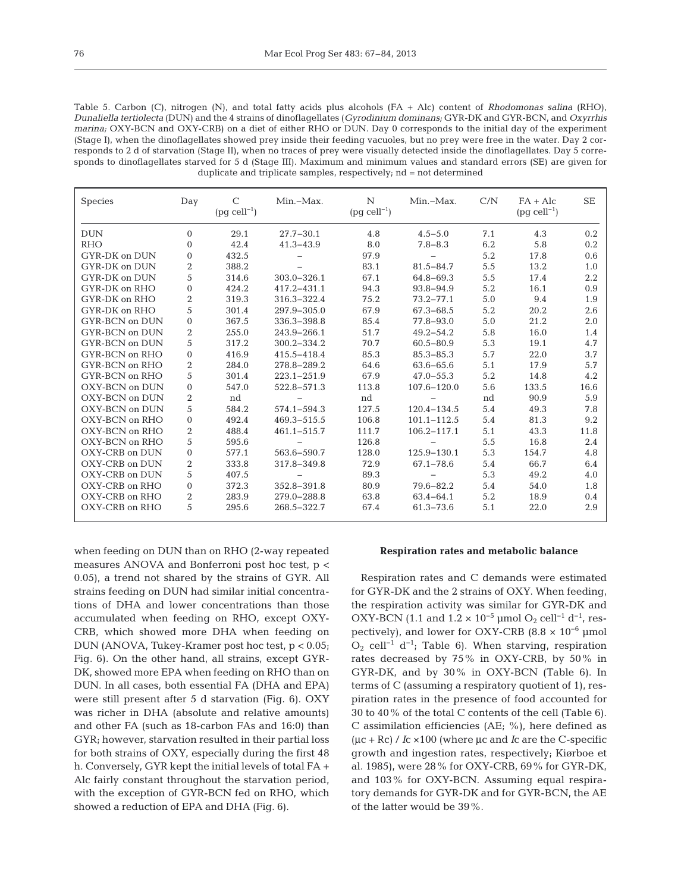| Table 5. Carbon (C), nitrogen (N), and total fatty acids plus alcohols $(FA + Alc)$ content of <i>Rhodomonas salina</i> (RHO),   |
|----------------------------------------------------------------------------------------------------------------------------------|
| Dunaliella tertiolecta (DUN) and the 4 strains of dinoflagellates (Gyrodinium dominans, GYR-DK and GYR-BCN, and Oxyrrhis         |
| marina; OXY-BCN and OXY-CRB) on a diet of either RHO or DUN. Day 0 corresponds to the initial day of the experiment              |
| (Stage I), when the dinoflagellates showed prey inside their feeding vacuoles, but no prey were free in the water. Day 2 cor-    |
| responds to 2 d of starvation (Stage II), when no traces of prey were visually detected inside the dinoflagellates. Day 5 corre- |
| sponds to dinoflagellates starved for 5 d (Stage III). Maximum and minimum values and standard errors (SE) are given for         |
| duplicate and triplicate samples, respectively; $nd = not determined$                                                            |

| <b>Species</b>        | Day              | $\mathcal{C}$<br>$(pg$ cell <sup>-1</sup> ) | Min.-Max.       | N<br>$(pg$ cell <sup>-1</sup> ) | Min.-Max.       | C/N | $FA + Alc$<br>$(pg$ cell <sup>-1</sup> ) | <b>SE</b> |
|-----------------------|------------------|---------------------------------------------|-----------------|---------------------------------|-----------------|-----|------------------------------------------|-----------|
| <b>DUN</b>            | $\overline{0}$   | 29.1                                        | $27.7 - 30.1$   | 4.8                             | $4.5 - 5.0$     | 7.1 | 4.3                                      | 0.2       |
| <b>RHO</b>            | $\Omega$         | 42.4                                        | $41.3 - 43.9$   | 8.0                             | $7.8 - 8.3$     | 6.2 | 5.8                                      | 0.2       |
| GYR-DK on DUN         | $\overline{0}$   | 432.5                                       |                 | 97.9                            |                 | 5.2 | 17.8                                     | 0.6       |
| GYR-DK on DUN         | 2                | 388.2                                       |                 | 83.1                            | $81.5 - 84.7$   | 5.5 | 13.2                                     | 1.0       |
| <b>GYR-DK on DUN</b>  | 5                | 314.6                                       | $303.0 - 326.1$ | 67.1                            | 64.8-69.3       | 5.5 | 17.4                                     | 2.2       |
| GYR-DK on RHO         | $\overline{0}$   | 424.2                                       | 417.2-431.1     | 94.3                            | 93.8-94.9       | 5.2 | 16.1                                     | 0.9       |
| GYR-DK on RHO         | $\overline{2}$   | 319.3                                       | 316.3-322.4     | 75.2                            | $73.2 - 77.1$   | 5.0 | 9.4                                      | 1.9       |
| GYR-DK on RHO         | 5                | 301.4                                       | 297.9-305.0     | 67.9                            | 67.3-68.5       | 5.2 | 20.2                                     | 2.6       |
| GYR-BCN on DUN        | $\overline{0}$   | 367.5                                       | 336.3-398.8     | 85.4                            | 77.8-93.0       | 5.0 | 21.2                                     | 2.0       |
| <b>GYR-BCN on DUN</b> | 2                | 255.0                                       | 243.9-266.1     | 51.7                            | $49.2 - 54.2$   | 5.8 | 16.0                                     | 1.4       |
| <b>GYR-BCN</b> on DUN | 5                | 317.2                                       | 300.2-334.2     | 70.7                            | $60.5 - 80.9$   | 5.3 | 19.1                                     | 4.7       |
| GYR-BCN on RHO        | $\boldsymbol{0}$ | 416.9                                       | 415.5-418.4     | 85.3                            | $85.3 - 85.3$   | 5.7 | 22.0                                     | 3.7       |
| GYR-BCN on RHO        | 2                | 284.0                                       | 278.8-289.2     | 64.6                            | $63.6 - 65.6$   | 5.1 | 17.9                                     | 5.7       |
| GYR-BCN on RHO        | 5                | 301.4                                       | $223.1 - 251.9$ | 67.9                            | $47.0 - 55.3$   | 5.2 | 14.8                                     | 4.2       |
| OXY-BCN on DUN        | $\overline{0}$   | 547.0                                       | 522.8-571.3     | 113.8                           | 107.6-120.0     | 5.6 | 133.5                                    | 16.6      |
| OXY-BCN on DUN        | 2                | nd                                          |                 | nd                              |                 | nd  | 90.9                                     | 5.9       |
| OXY-BCN on DUN        | 5                | 584.2                                       | 574.1-594.3     | 127.5                           | $120.4 - 134.5$ | 5.4 | 49.3                                     | 7.8       |
| OXY-BCN on RHO        | $\overline{0}$   | 492.4                                       | 469.3-515.5     | 106.8                           | $101.1 - 112.5$ | 5.4 | 81.3                                     | 9.2       |
| OXY-BCN on RHO        | 2                | 488.4                                       | 461.1-515.7     | 111.7                           | 106.2-117.1     | 5.1 | 43.3                                     | 11.8      |
| OXY-BCN on RHO        | 5                | 595.6                                       |                 | 126.8                           |                 | 5.5 | 16.8                                     | 2.4       |
| OXY-CRB on DUN        | $\boldsymbol{0}$ | 577.1                                       | 563.6-590.7     | 128.0                           | 125.9-130.1     | 5.3 | 154.7                                    | 4.8       |
| OXY-CRB on DUN        | 2                | 333.8                                       | 317.8-349.8     | 72.9                            | 67.1-78.6       | 5.4 | 66.7                                     | 6.4       |
| OXY-CRB on DUN        | 5                | 407.5                                       |                 | 89.3                            |                 | 5.3 | 49.2                                     | 4.0       |
| OXY-CRB on RHO        | $\overline{0}$   | 372.3                                       | 352.8-391.8     | 80.9                            | 79.6-82.2       | 5.4 | 54.0                                     | 1.8       |
| OXY-CRB on RHO        | 2                | 283.9                                       | 279.0-288.8     | 63.8                            | $63.4 - 64.1$   | 5.2 | 18.9                                     | 0.4       |
| OXY-CRB on RHO        | 5                | 295.6                                       | 268.5-322.7     | 67.4                            | $61.3 - 73.6$   | 5.1 | 22.0                                     | 2.9       |

when feeding on DUN than on RHO (2-way repeated measures ANOVA and Bonferroni post hoc test, p < 0.05), a trend not shared by the strains of GYR. All strains feeding on DUN had similar initial concentrations of DHA and lower concentrations than those accumulated when feeding on RHO, except OXY-CRB, which showed more DHA when feeding on DUN (ANOVA, Tukey-Kramer post hoc test, p < 0.05; Fig. 6). On the other hand, all strains, except GYR-DK, showed more EPA when feeding on RHO than on DUN. In all cases, both essential FA (DHA and EPA) were still present after 5 d starvation (Fig. 6). OXY was richer in DHA (absolute and relative amounts) and other FA (such as 18-carbon FAs and 16:0) than GYR; however, starvation resulted in their partial loss for both strains of OXY, especially during the first 48 h. Conversely, GYR kept the initial levels of total FA + Alc fairly constant throughout the starvation period, with the exception of GYR-BCN fed on RHO, which showed a reduction of EPA and DHA (Fig. 6).

## **Respiration rates and metabolic balance**

Respiration rates and C demands were estimated for GYR-DK and the 2 strains of OXY. When feeding, the respiration activity was similar for GYR-DK and OXY-BCN (1.1 and  $1.2 \times 10^{-5}$  µmol O<sub>2</sub> cell<sup>-1</sup> d<sup>-1</sup>, respectively), and lower for OXY-CRB (8.8  $\times$  10<sup>-6</sup> µmol  $O_2$  cell<sup>-1</sup> d<sup>-1</sup>; Table 6). When starving, respiration rates decreased by 75% in OXY-CRB, by 50% in GYR-DK, and by 30% in OXY-BCN (Table 6). In terms of C (assuming a respiratory quotient of 1), respiration rates in the presence of food accounted for 30 to 40% of the total C contents of the cell (Table 6). C assimilation efficiencies (AE; %), here defined as (μc + Rc) / *I*c ×100 (where μc and *I*c are the C-specific growth and ingestion rates, respectively; Kiørboe et al. 1985), were 28% for OXY-CRB, 69% for GYR-DK, and 103% for OXY-BCN. Assuming equal respiratory demands for GYR-DK and for GYR-BCN, the AE of the latter would be 39%.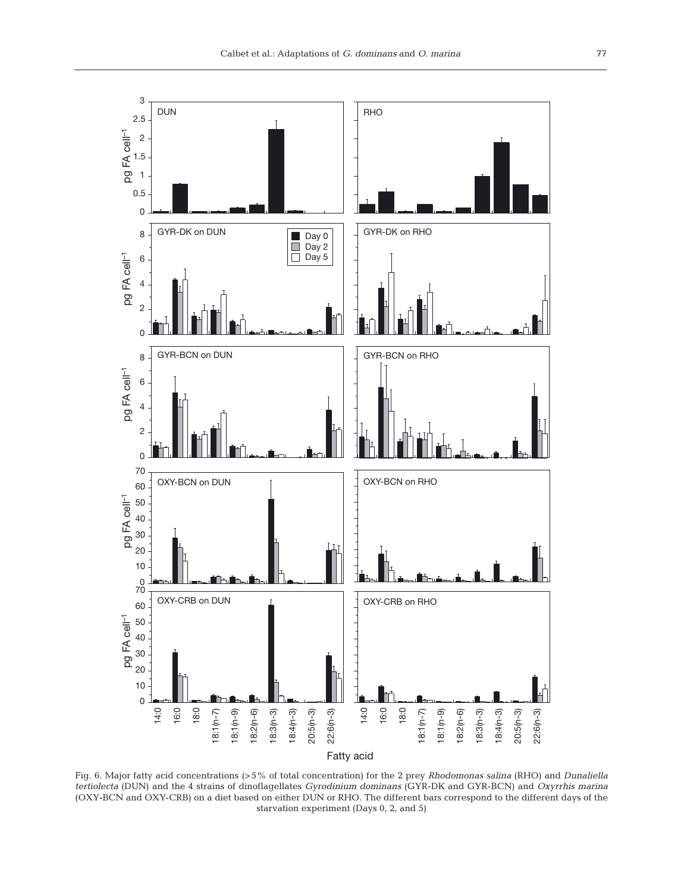

Fig. 6. Major fatty acid concentrations (>5% of total concentration) for the 2 prey *Rhodomonas salina* (RHO) and *Dunaliella tertiolecta* (DUN) and the 4 strains of dinoflagellates *Gyrodinium dominans* (GYR-DK and GYR-BCN) and *Oxyrrhis marina* (OXY-BCN and OXY-CRB) on a diet based on either DUN or RHO. The different bars correspond to the different days of the starvation experiment (Days 0, 2, and 5)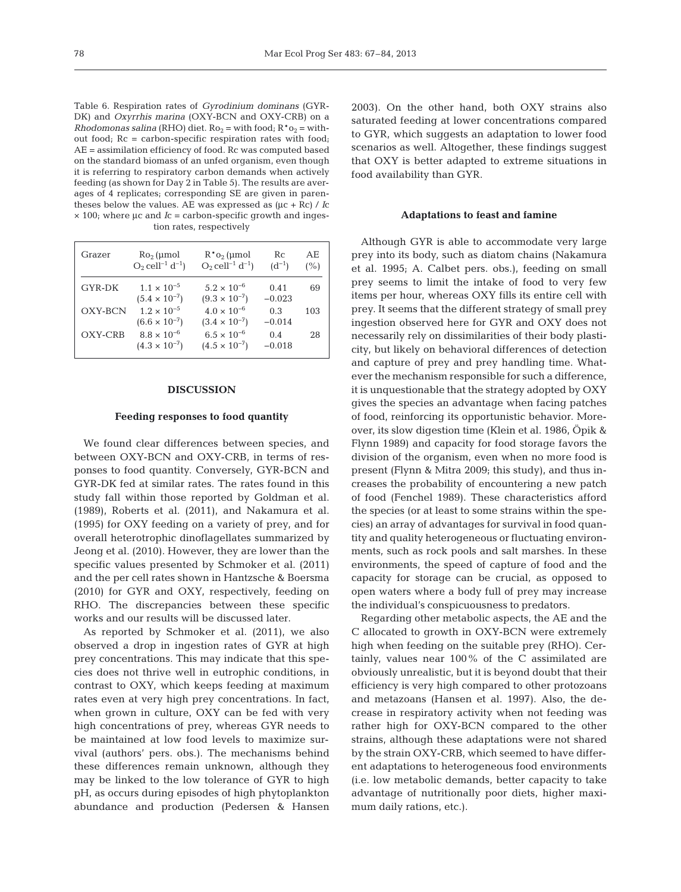Table 6. Respiration rates of *Gyrodinium dominans* (GYR-DK) and *Oxyrrhis marina* (OXY-BCN and OXY-CRB) on a *Rhodomonas salina* (RHO) diet.  $Ro_2$  = with food;  $R^*o_2$  = without food; Rc = carbon-specific respiration rates with food; AE = assimilation efficiency of food. Rc was computed based on the standard biomass of an unfed organism, even though it is referring to respiratory carbon demands when actively feeding (as shown for Day 2 in Table 5). The results are averages of 4 replicates; corresponding SE are given in parentheses below the values. AE was expressed as  $(\mu c + Rc)/Ic$ × 100; where μc and *I*c = carbon-specific growth and ingestion rates, respectively

| Grazer        | $Ro2$ (umol<br>$O_2$ cell <sup>-1</sup> d <sup>-1</sup> ) | $R^*o_2$ (umol<br>$O_2$ cell <sup>-1</sup> d <sup>-1</sup> ) | R <sub>C</sub><br>$(d^{-1})$ | AE<br>(% ) |
|---------------|-----------------------------------------------------------|--------------------------------------------------------------|------------------------------|------------|
| <b>GYR-DK</b> | $1.1 \times 10^{-5}$<br>$(5.4 \times 10^{-7})$            | $5.2 \times 10^{-6}$<br>$(9.3 \times 10^{-7})$               | 0.41<br>$-0.023$             | 69         |
| OXY-BCN       | $1.2 \times 10^{-5}$<br>$(6.6 \times 10^{-7})$            | $4.0 \times 10^{-6}$<br>$(3.4 \times 10^{-7})$               | 0.3<br>$-0.014$              | 103        |
| OXY-CRB       | $8.8 \times 10^{-6}$<br>$(4.3 \times 10^{-7})$            | $6.5 \times 10^{-6}$<br>$(4.5 \times 10^{-7})$               | 0.4<br>$-0.018$              | 28         |

#### **DISCUSSION**

#### **Feeding responses to food quantity**

We found clear differences between species, and between OXY-BCN and OXY-CRB, in terms of responses to food quantity. Conversely, GYR-BCN and GYR-DK fed at similar rates. The rates found in this study fall within those reported by Goldman et al. (1989), Roberts et al. (2011), and Nakamura et al. (1995) for OXY feeding on a variety of prey, and for overall heterotrophic dinoflagellates summarized by Jeong et al. (2010). However, they are lower than the specific values presented by Schmoker et al. (2011) and the per cell rates shown in Hantzsche & Boersma (2010) for GYR and OXY, respectively, feeding on RHO. The discrepancies between these specific works and our results will be discussed later.

As reported by Schmoker et al. (2011), we also observed a drop in ingestion rates of GYR at high prey concentrations. This may indicate that this species does not thrive well in eutrophic conditions, in contrast to OXY, which keeps feeding at maximum rates even at very high prey concentrations. In fact, when grown in culture, OXY can be fed with very high concentrations of prey, whereas GYR needs to be maintained at low food levels to maximize survival (authors' pers. obs.). The mechanisms behind these differences remain unknown, although they may be linked to the low tolerance of GYR to high pH, as occurs during episodes of high phytoplankton abundance and production (Pedersen & Hansen

2003). On the other hand, both OXY strains also saturated feeding at lower concentrations compared to GYR, which suggests an adaptation to lower food scenarios as well. Altogether, these findings suggest that OXY is better adapted to extreme situations in food availability than GYR.

## **Adaptations to feast and famine**

Although GYR is able to accommodate very large prey into its body, such as diatom chains (Nakamura et al. 1995; A. Calbet pers. obs.), feeding on small prey seems to limit the intake of food to very few items per hour, whereas OXY fills its entire cell with prey. It seems that the different strategy of small prey ingestion observed here for GYR and OXY does not necessarily rely on dissimilarities of their body plasticity, but likely on behavioral differences of detection and capture of prey and prey handling time. Whatever the mechanism responsible for such a difference, it is unquestionable that the strategy adopted by OXY gives the species an advantage when facing patches of food, reinforcing its opportunistic behavior. Moreover, its slow digestion time (Klein et al. 1986, Öpik & Flynn 1989) and capacity for food storage favors the division of the organism, even when no more food is present (Flynn & Mitra 2009; this study), and thus increases the probability of encountering a new patch of food (Fenchel 1989). These characteristics afford the species (or at least to some strains within the species) an array of advantages for survival in food quantity and quality heterogeneous or fluctuating environments, such as rock pools and salt marshes. In these environments, the speed of capture of food and the capacity for storage can be crucial, as opposed to open waters where a body full of prey may increase the individual's conspicuousness to predators.

Regarding other metabolic aspects, the AE and the C allocated to growth in OXY-BCN were extremely high when feeding on the suitable prey (RHO). Certainly, values near 100% of the C assimilated are obviously unrealistic, but it is be yond doubt that their efficiency is very high compared to other protozoans and metazoans (Hansen et al. 1997). Also, the decrease in respiratory activity when not feeding was rather high for OXY-BCN compared to the other strains, although these adaptations were not shared by the strain OXY-CRB, which seemed to have different adaptations to heterogeneous food environments (i.e. low metabolic demands, better capacity to take advantage of nutritionally poor diets, higher maximum daily rations, etc.).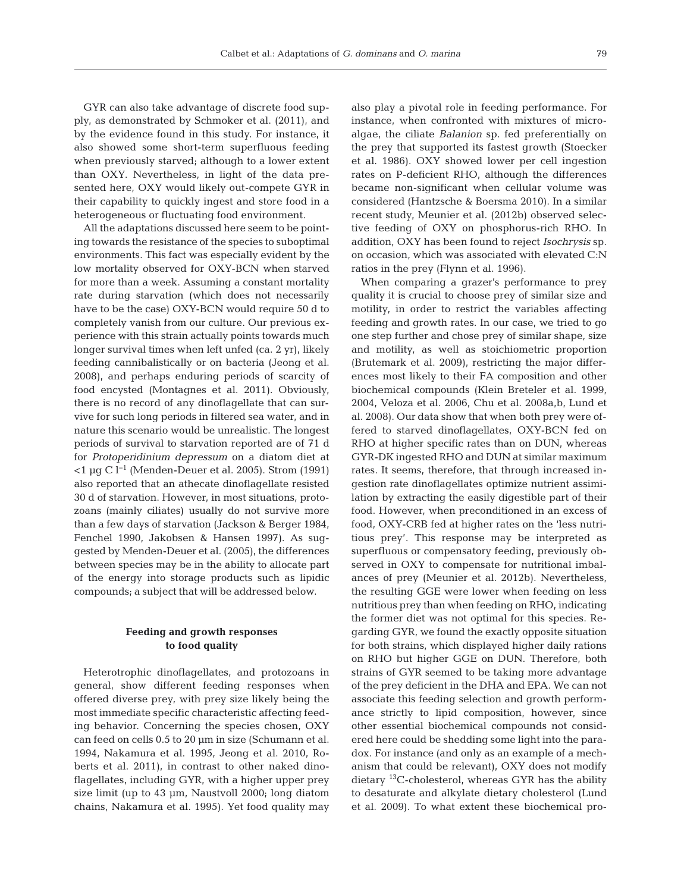GYR can also take advantage of discrete food supply, as demonstrated by Schmoker et al. (2011), and by the evidence found in this study. For instance, it also showed some short-term superfluous feeding when previously starved; although to a lower extent than OXY. Nevertheless, in light of the data presented here, OXY would likely out-compete GYR in their capability to quickly ingest and store food in a heterogeneous or fluctuating food environment.

All the adaptations discussed here seem to be pointing towards the resistance of the species to suboptimal environments. This fact was especially evident by the low mortality observed for OXY-BCN when starved for more than a week. Assuming a constant mortality rate during starvation (which does not necessarily have to be the case) OXY-BCN would require 50 d to completely vanish from our culture. Our previous experience with this strain actually points towards much longer survival times when left unfed (ca. 2 yr), likely feeding cannibalistically or on bacteria (Jeong et al. 2008), and perhaps enduring periods of scarcity of food encysted (Montagnes et al. 2011). Obviously, there is no record of any dinoflagellate that can survive for such long periods in filtered sea water, and in nature this scenario would be unrealistic. The longest periods of survival to starvation reported are of 71 d for *Protoperidinium depressum* on a diatom diet at <1 µg C l−1 (Menden-Deuer et al. 2005). Strom (1991) also reported that an athecate dinoflagellate resisted 30 d of starvation. However, in most situations, protozoans (mainly ciliates) usually do not survive more than a few days of starvation (Jackson & Berger 1984, Fenchel 1990, Jakobsen & Hansen 1997). As suggested by Menden-Deuer et al. (2005), the differences between species may be in the ability to allocate part of the energy into storage products such as lipidic compounds; a subject that will be addressed below.

# **Feeding and growth responses to food quality**

Heterotrophic dinoflagellates, and protozoans in general, show different feeding responses when offered diverse prey, with prey size likely being the most immediate specific characteristic affecting feeding behavior. Concerning the species chosen, OXY can feed on cells 0.5 to 20 µm in size (Schumann et al. 1994, Nakamura et al. 1995, Jeong et al. 2010, Roberts et al. 2011), in contrast to other naked dinoflagellates, including GYR, with a higher upper prey size limit (up to 43 µm, Naustvoll 2000; long diatom chains, Nakamura et al. 1995). Yet food quality may also play a pivotal role in feeding performance. For instance, when confronted with mixtures of microalgae, the ciliate *Balanion* sp. fed preferentially on the prey that supported its fastest growth (Stoecker et al. 1986). OXY showed lower per cell ingestion rates on P-deficient RHO, although the differences became non-significant when cellular volume was considered (Hantzsche & Boersma 2010). In a similar recent study, Meunier et al. (2012b) observed selective feeding of OXY on phosphorus-rich RHO. In addition, OXY has been found to reject *Isochrysis* sp. on occasion, which was associated with elevated C:N ratios in the prey (Flynn et al. 1996).

When comparing a grazer's performance to prey quality it is crucial to choose prey of similar size and motility, in order to restrict the variables affecting feeding and growth rates. In our case, we tried to go one step further and chose prey of similar shape, size and motility, as well as stoichiometric proportion (Brutemark et al. 2009), restricting the major differences most likely to their FA composition and other biochemical compounds (Klein Breteler et al. 1999, 2004, Veloza et al. 2006, Chu et al. 2008a,b, Lund et al. 2008). Our data show that when both prey were offered to starved dinoflagellates, OXY-BCN fed on RHO at higher specific rates than on DUN, whereas GYR-DK ingested RHO and DUN at similar maximum rates. It seems, therefore, that through increased ingestion rate dinoflagellates optimize nutrient assimilation by extracting the easily digestible part of their food. However, when preconditioned in an excess of food, OXY-CRB fed at higher rates on the 'less nutritious prey'. This response may be interpreted as superfluous or compensatory feeding, previously observed in OXY to compensate for nutritional imbalances of prey (Meunier et al. 2012b). Nevertheless, the resulting GGE were lower when feeding on less nutritious prey than when feeding on RHO, indicating the former diet was not optimal for this species. Regarding GYR, we found the exactly opposite situation for both strains, which displayed higher daily rations on RHO but higher GGE on DUN. Therefore, both strains of GYR seemed to be taking more advantage of the prey deficient in the DHA and EPA. We can not associate this feeding selection and growth performance strictly to lipid composition, however, since other essential biochemical compounds not considered here could be shedding some light into the paradox. For instance (and only as an example of a mechanism that could be relevant), OXY does not modify dietary 13C-cholesterol, whereas GYR has the ability to desaturate and alkylate dietary cholesterol (Lund et al. 2009). To what extent these biochemical pro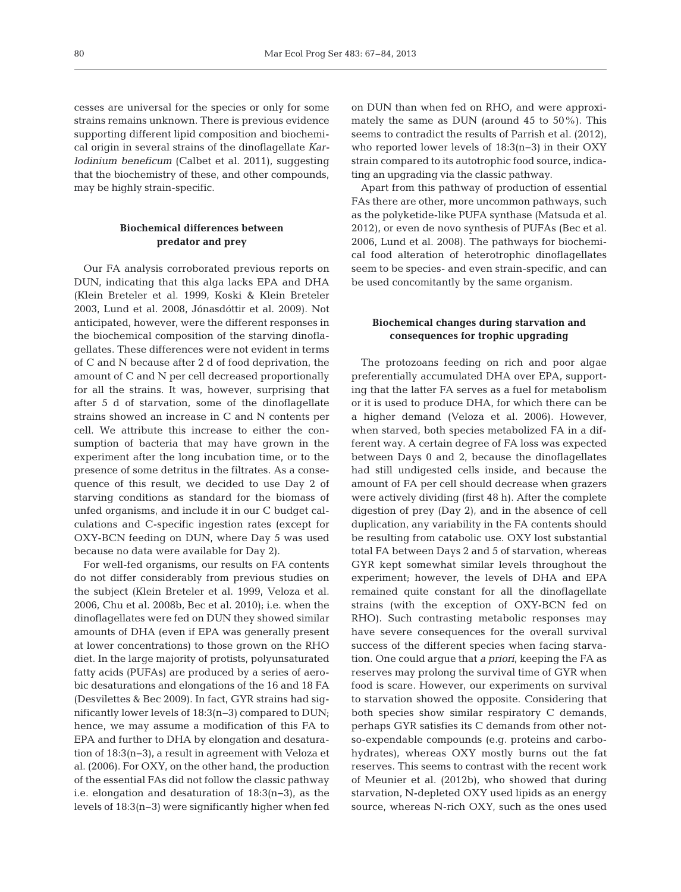cesses are universal for the species or only for some strains remains unknown. There is previous evidence supporting different lipid composition and biochemical origin in several strains of the dinoflagellate *Karlodinium beneficum* (Calbet et al. 2011), suggesting that the biochemistry of these, and other compounds, may be highly strain-specific.

# **Biochemical differences between predator and prey**

Our FA analysis corroborated previous reports on DUN, indicating that this alga lacks EPA and DHA (Klein Breteler et al. 1999, Koski & Klein Breteler 2003, Lund et al. 2008, Jónasdóttir et al. 2009). Not anticipated, however, were the different responses in the biochemical composition of the starving dinoflagellates. These differences were not evident in terms of C and N because after 2 d of food deprivation, the amount of C and N per cell decreased proportionally for all the strains. It was, however, surprising that after 5 d of starvation, some of the dinoflagellate strains showed an increase in C and N contents per cell. We attribute this increase to either the consumption of bacteria that may have grown in the experiment after the long incubation time, or to the presence of some detritus in the filtrates. As a consequence of this result, we decided to use Day 2 of starving conditions as standard for the biomass of unfed organisms, and include it in our C budget calculations and C-specific ingestion rates (except for OXY-BCN feeding on DUN, where Day 5 was used because no data were available for Day 2).

For well-fed organisms, our results on FA contents do not differ considerably from previous studies on the subject (Klein Breteler et al. 1999, Veloza et al. 2006, Chu et al. 2008b, Bec et al. 2010); i.e. when the dinoflagellates were fed on DUN they showed similar amounts of DHA (even if EPA was generally present at lower concentrations) to those grown on the RHO diet. In the large majority of protists, polyunsaturated fatty acids (PUFAs) are produced by a series of aerobic desaturations and elongations of the 16 and 18 FA (Desvilettes & Bec 2009). In fact, GYR strains had significantly lower levels of 18:3(n−3) compared to DUN; hence, we may assume a modification of this FA to EPA and further to DHA by elongation and desaturation of 18:3(n−3), a result in agreement with Veloza et al. (2006). For OXY, on the other hand, the production of the essential FAs did not follow the classic pathway i.e. elongation and desaturation of 18:3(n−3), as the levels of 18:3(n−3) were significantly higher when fed on DUN than when fed on RHO, and were approximately the same as DUN (around 45 to 50%). This seems to contradict the results of Parrish et al. (2012), who reported lower levels of 18:3(n−3) in their OXY strain compared to its autotrophic food source, indicating an upgrading via the classic pathway.

Apart from this pathway of production of essential FAs there are other, more uncommon pathways, such as the polyketide-like PUFA synthase (Matsuda et al. 2012), or even de novo synthesis of PUFAs (Bec et al. 2006, Lund et al. 2008). The pathways for biochemical food alteration of heterotrophic dinoflagellates seem to be species- and even strain-specific, and can be used concomitantly by the same organism.

# **Biochemical changes during starvation and consequences for trophic upgrading**

The protozoans feeding on rich and poor algae preferentially accumulated DHA over EPA, supporting that the latter FA serves as a fuel for metabolism or it is used to produce DHA, for which there can be a higher demand (Veloza et al. 2006). However, when starved, both species metabolized FA in a different way. A certain degree of FA loss was expected between Days 0 and 2, because the dinoflagellates had still undigested cells inside, and because the amount of FA per cell should decrease when grazers were actively dividing (first 48 h). After the complete digestion of prey (Day 2), and in the absence of cell duplication, any variability in the FA contents should be resulting from catabolic use. OXY lost substantial total FA between Days 2 and 5 of starvation, whereas GYR kept somewhat similar levels throughout the experiment; however, the levels of DHA and EPA remained quite constant for all the dinoflagellate strains (with the exception of OXY-BCN fed on RHO). Such contrasting metabolic responses may have severe consequences for the overall survival success of the different species when facing starvation. One could argue that *a priori*, keeping the FA as reserves may prolong the survival time of GYR when food is scare. However, our experiments on survival to starvation showed the opposite. Considering that both species show similar respiratory  $C$  demands, perhaps GYR satisfies its C demands from other notso-expendable compounds (e.g. proteins and carbo hydrates), whereas OXY mostly burns out the fat reserves. This seems to contrast with the recent work of Meunier et al. (2012b), who showed that during starvation, N-depleted OXY used lipids as an energy source, whereas N-rich OXY, such as the ones used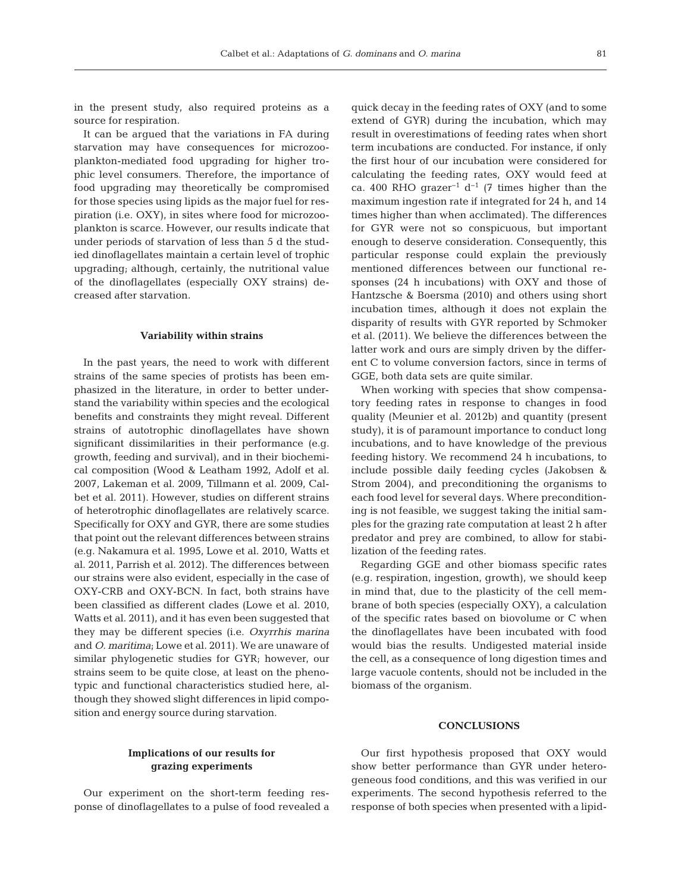in the present study, also required proteins as a source for respiration.

It can be argued that the variations in FA during starvation may have consequences for microzooplankton-mediated food upgrading for higher trophic level consumers. Therefore, the importance of food upgrading may theoretically be compromised for those species using lipids as the major fuel for respiration (i.e. OXY), in sites where food for microzooplankton is scarce. However, our results indicate that under periods of starvation of less than 5 d the studied dinoflagellates maintain a certain level of trophic upgrading; although, certainly, the nutritional value of the dinoflagellates (especially OXY strains) de creased after starvation.

# **Variability within strains**

In the past years, the need to work with different strains of the same species of protists has been emphasized in the literature, in order to better understand the variability within species and the ecological benefits and constraints they might reveal. Different strains of autotrophic dinoflagellates have shown significant dissimilarities in their performance (e.g. growth, feeding and survival), and in their biochemical composition (Wood & Leatham 1992, Adolf et al. 2007, Lakeman et al. 2009, Tillmann et al. 2009, Cal bet et al. 2011). However, studies on different strains of heterotrophic dinoflagellates are relatively scarce. Specifically for OXY and GYR, there are some studies that point out the relevant differences between strains (e.g. Nakamura et al. 1995, Lowe et al. 2010, Watts et al. 2011, Parrish et al. 2012). The differences between our strains were also evident, especially in the case of OXY-CRB and OXY-BCN. In fact, both strains have been classified as different clades (Lowe et al. 2010, Watts et al. 2011), and it has even been suggested that they may be different species (i.e. *Oxyrrhis marina* and *O. maritima*; Lowe et al. 2011). We are unaware of similar phylogenetic studies for GYR; however, our strains seem to be quite close, at least on the phenotypic and functional characteristics studied here, although they showed slight differences in lipid composition and energy source during starvation.

quick decay in the feeding rates of OXY (and to some extend of GYR) during the incubation, which may result in overestimations of feeding rates when short term incubations are conducted. For instance, if only the first hour of our incubation were considered for calculating the feeding rates, OXY would feed at ca. 400 RHO grazer<sup>-1</sup> d<sup>-1</sup> (7 times higher than the maximum ingestion rate if integrated for 24 h, and 14 times higher than when acclimated). The differences for GYR were not so conspicuous, but important enough to deserve consideration. Consequently, this particular response could explain the previously mentioned differences between our functional responses (24 h incubations) with OXY and those of Hantzsche & Boersma (2010) and others using short incubation times, although it does not explain the disparity of results with GYR reported by Schmoker et al. (2011). We believe the differences between the latter work and ours are simply driven by the different C to volume conversion factors, since in terms of GGE, both data sets are quite similar.

When working with species that show compensatory feeding rates in response to changes in food quality (Meunier et al. 2012b) and quantity (present study), it is of paramount importance to conduct long incubations, and to have knowledge of the previous feeding history. We recommend 24 h incubations, to include possible daily feeding cycles (Jakobsen & Strom 2004), and preconditioning the organisms to each food level for several days. Where preconditioning is not feasible, we suggest taking the initial samples for the grazing rate computation at least 2 h after predator and prey are combined, to allow for stabilization of the feeding rates.

Regarding GGE and other biomass specific rates (e.g. respiration, ingestion, growth), we should keep in mind that, due to the plasticity of the cell membrane of both species (especially OXY), a calculation of the specific rates based on biovolume or C when the dinoflagellates have been incubated with food would bias the results. Undigested material inside the cell, as a consequence of long digestion times and large vacuole contents, should not be included in the biomass of the organism.

## **CONCLUSIONS**

# **Implications of our results for grazing experiments**

Our experiment on the short-term feeding response of dinoflagellates to a pulse of food revealed a

Our first hypothesis proposed that OXY would show better performance than GYR under heterogeneous food conditions, and this was verified in our experiments. The second hypothesis referred to the response of both species when presented with a lipid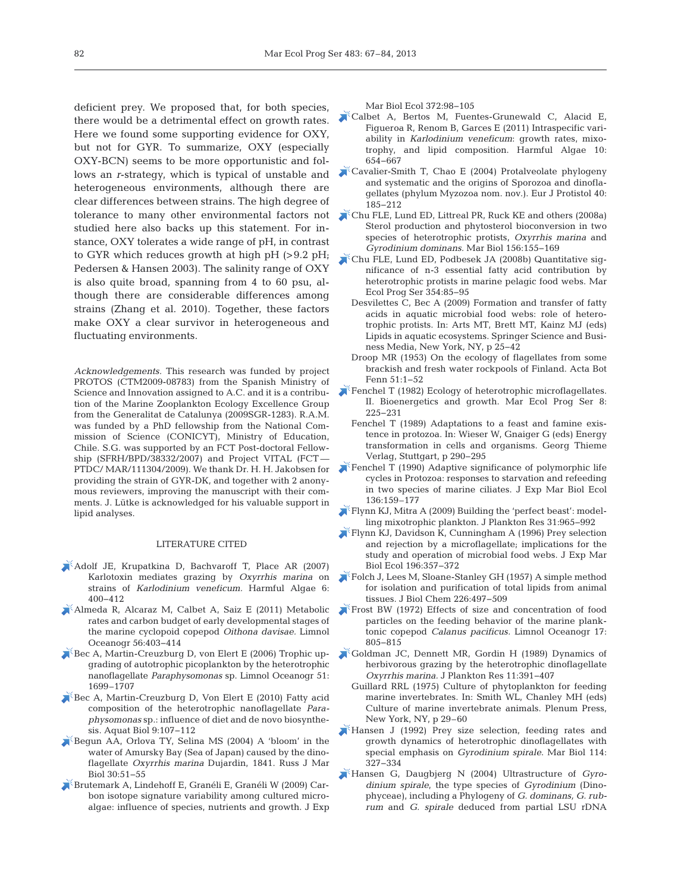deficient prey. We proposed that, for both species, there would be a detrimental effect on growth rates. Here we found some supporting evidence for OXY, but not for GYR. To summarize, OXY (especially OXY-BCN) seems to be more opportunistic and follows an *r*-strategy, which is typical of unstable and heterogeneous environments, although there are clear differences between strains. The high degree of tolerance to many other environmental factors not [Chu FLE, Lund ED, Littreal PR, Ruck KE and others \(2008a\)](https://doi.org/10.1007/s00227-008-1072-2) studied here also backs up this statement. For instance, OXY tolerates a wide range of pH, in contrast to GYR which reduces growth at high pH (>9.2 pH; Pedersen & Hansen 2003). The salinity range of OXY is also quite broad, spanning from 4 to 60 psu, although there are considerable differences among strains (Zhang et al. 2010). Together, these factors make OXY a clear survivor in heterogeneous and fluctuating environments.

*Acknowledgements.* This research was funded by project PROTOS (CTM2009-08783) from the Spanish Ministry of Science and Innovation assigned to A.C. and it is a contribution of the Marine Zooplankton Ecology Excellence Group from the Generalitat de Catalunya (2009SGR-1283). R.A.M. was funded by a PhD fellowship from the National Commission of Science (CONICYT), Ministry of Education, Chile. S.G. was supported by an FCT Post-doctoral Fellowship (SFRH/BPD/38332/2007) and Project VITAL (FCT — PTDC/ MAR/111304/2009). We thank Dr. H. H. Jakobsen for providing the strain of GYR-DK, and together with 2 anonymous reviewers, improving the manuscript with their comments. J. Lütke is acknowledged for his valuable support in lipid analyses.

#### LITERATURE CITED

- [Adolf JE, Krupatkina D, Bachvaroff T, Place AR \(2007\)](https://doi.org/10.1016/j.hal.2006.12.003) Karlotoxin mediates grazing by *Oxyrrhis marina* on strains of *Karlodinium veneficum.* Harmful Algae 6: 400−412
- [Almeda R, Alcaraz M, Calbet A, Saiz E \(2011\) Metabolic](https://doi.org/10.4319/lo.2011.56.1.0403) rates and carbon budget of early developmental stages of the marine cyclopoid copepod *Oithona davisae.* Limnol Oceanogr 56:403-414
- $\blacktriangleright$  Bec A, Martin-Creuzburg D, von Elert E (2006) Trophic upgrading of autotrophic picoplankton by the heterotrophic nanoflagellate *Paraphysomonas* sp. Limnol Oceanogr 51: 1699–1707
- [Bec A, Martin-Creuzburg D, Von Elert E \(2010\) Fatty acid](https://doi.org/10.3354/ab00244) composition of the heterotrophic nanoflagellate *Paraphysomonas* sp.: influence of diet and de novo biosynthesis. Aquat Biol 9: 107−112
- [Begun AA, Orlova TY, Selina MS \(2004\) A 'bloom' in the](https://doi.org/10.1023/B%3ARUMB.0000020569.49887.7e) water of Amursky Bay (Sea of Japan) caused by the dinoflagellate *Oxyrrhis marina* Dujardin, 1841. Russ J Mar Biol 30:51-55
- [Brutemark A, Lindehoff E, Granéli E, Granéli W \(2009\) Car](https://doi.org/10.1016/j.jembe.2009.02.013)bon isotope signature variability among cultured microalgae: influence of species, nutrients and growth. J Exp

Mar Biol Ecol 372:98-105

- [Calbet A, Bertos M, Fuentes-Grunewald C, Alacid E,](https://doi.org/10.1016/j.hal.2011.05.001) Figueroa R, Renom B, Garces E (2011) Intraspecific variability in *Karlodinium veneficum*: growth rates, mixotrophy, and lipid composition. Harmful Algae 10: 654−667
- [Cavalier-Smith T, Chao E \(2004\) Protalveolate phylogeny](https://doi.org/10.1016/j.ejop.2004.01.002) and systematic and the origins of Sporozoa and dinoflagellates (phylum Myzozoa nom. nov.). Eur J Protistol 40: 185−212
- Sterol production and phytosterol bioconversion in two species of heterotrophic protists, *Oxyrrhis marina* and *Gyrodinium dominans.* Mar Biol 156: 155−169
- [Chu FLE, Lund ED, Podbesek JA \(2008b\) Quantitative sig](https://doi.org/10.3354/meps07215)nificance of n-3 essential fatty acid contribution by heterotrophic protists in marine pelagic food webs. Mar Ecol Prog Ser 354: 85−95
	- Desvilettes C, Bec A (2009) Formation and transfer of fatty acids in aquatic microbial food webs: role of heterotrophic protists. In:Arts MT, Brett MT, Kainz MJ (eds) Lipids in aquatic ecosystems. Springer Science and Business Media, New York, NY, p 25−42
	- Droop MR (1953) On the ecology of flagellates from some brackish and fresh water rockpools of Finland. Acta Bot Fenn 51: 1−52
- [Fenchel T \(1982\) Ecology of heterotrophic microflagellates.](https://doi.org/10.3354/meps008225) II. Bioenergetics and growth. Mar Ecol Prog Ser 8: 225−231
	- Fenchel T (1989) Adaptations to a feast and famine existence in protozoa. In:Wieser W, Gnaiger G (eds) Energy transformation in cells and organisms. Georg Thieme Verlag, Stuttgart, p 290−295
- [Fenchel T \(1990\) Adaptive significance of polymorphic life](https://doi.org/10.1016/0022-0981(90)90159-A) cycles in Protozoa: responses to starvation and refeeding in two species of marine ciliates. J Exp Mar Biol Ecol 136:159–177
- $K$ Flynn KJ, Mitra A (2009) Building the 'perfect beast': modelling mixotrophic plankton. J Plankton Res 31: 965−992
- [Flynn KJ, Davidson K, Cunningham A \(1996\) Prey selection](https://doi.org/10.1016/0022-0981(95)00140-9) and rejection by a microflagellate; implications for the study and operation of microbial food webs. J Exp Mar Biol Ecol 196:357–372
- [Folch J, Lees M, Sloane-Stanley GH \(1957\) A simple method](http://www.ncbi.nlm.nih.gov/entrez/query.fcgi?cmd=Retrieve&db=PubMed&list_uids=13428781&dopt=Abstract) for isolation and purification of total lipids from animal tissues. J Biol Chem 226: 497−509
- [Frost BW \(1972\) Effects of size and concentration of food](https://doi.org/10.4319/lo.1972.17.6.0805) particles on the feeding behavior of the marine planktonic copepod *Calanus pacificus.* Limnol Oceanogr 17: 805−815
- [Goldman JC, Dennett MR, Gordin H \(1989\) Dynamics of](https://doi.org/10.1093/plankt/11.2.391) herbivorous grazing by the heterotrophic dinoflagellate *Oxyrrhis marina.* J Plankton Res 11: 391−407
	- Guillard RRL (1975) Culture of phytoplankton for feeding marine invertebrates. In:Smith WL, Chanley MH (eds) Culture of marine invertebrate animals. Plenum Press, New York, NY, p 29–60
- [Hansen J \(1992\) Prey size selection, feeding rates and](https://doi.org/10.1007/BF00349535) growth dynamics of heterotrophic dinoflagellates with special emphasis on *Gyrodinium spirale*. Mar Biol 114: 327−334
- [Hansen G, Daugbjerg N \(2004\) Ultrastructure of](https://doi.org/10.1078/1434461041844231) *Gyrodinium spirale*, the type species of *Gyrodinium* (Dinophyceae), including a Phylogeny of *G. dominans, G. rub rum* and *G. spirale* deduced from partial LSU rDNA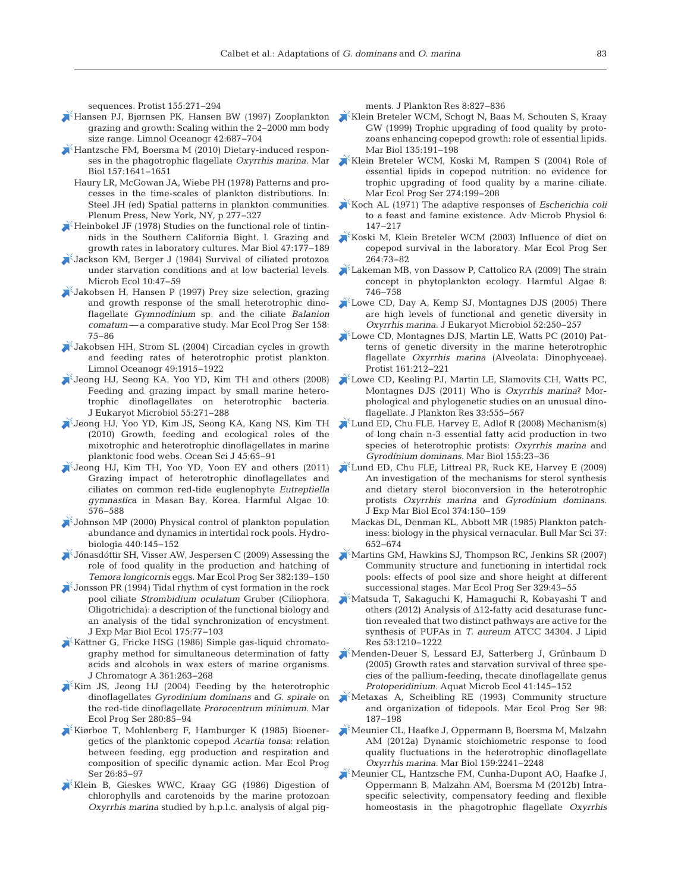sequences. Protist 155:271-294

- [Hansen PJ, Bjørnsen PK, Hansen BW \(1997\) Zooplankton](https://doi.org/10.4319/lo.1997.42.4.0687) grazing and growth: Scaling within the 2-2000 mm body size range. Limnol Oceanogr 42: 687−704
- Hantzsche FM, Boersma M (2010) Dietary-induced responses in the phagotrophic flagellate *Oxyrrhis marina.* Mar Biol 157: 1641−1651
	- Haury LR, McGowan JA, Wiebe PH (1978) Patterns and processes in the time-scales of plankton distributions. In: Steel JH (ed) Spatial patterns in plankton communities. Plenum Press, New York, NY, p 277−327
- $\blacktriangleright$  [Heinbokel JF \(1978\) Studies on the functional role of tintin](https://doi.org/10.1007/BF00395638)nids in the Southern California Bight. I. Grazing and growth rates in laboratory cultures. Mar Biol 47: 177−189
- [Jackson KM, Berger J \(1984\) Survival of ciliated protozoa](https://doi.org/10.1007/BF02011594) under starvation conditions and at low bacterial levels. Microb Ecol 10: 47−59
- [Jakobsen H, Hansen P \(1997\) Prey size selection, grazing](https://doi.org/10.3354/meps158075) and growth response of the small heterotrophic dinoflagellate *Gymnodinium* sp. and the ciliate *Balanion comatum*— a comparative study. Mar Ecol Prog Ser 158: 75−86
- $\blacktriangleright$  [Jakobsen HH, Strom SL \(2004\) Circadian cycles in growth](https://doi.org/10.4319/lo.2004.49.6.1915) and feeding rates of heterotrophic protist plankton. Limnol Oceanogr 49: 1915−1922
- [Jeong HJ, Seong KA, Yoo YD, Kim TH and others \(2008\)](https://doi.org/10.1111/j.1550-7408.2008.00336.x) Feeding and grazing impact by small marine heterotrophic dinoflagellates on heterotrophic bacteria. J Eukaryot Microbiol 55: 271−288
- [Jeong HJ, Yoo YD, Kim JS, Seong KA, Kang NS, Kim TH](https://doi.org/10.1007/s12601-010-0007-2) (2010) Growth, feeding and ecological roles of the mixotrophic and heterotrophic dinoflagellates in marine planktonic food webs. Ocean Sci J 45:65-91
- [Jeong HJ, Kim TH, Yoo YD, Yoon EY and others \(2011\)](https://doi.org/10.1016/j.hal.2011.04.008) Grazing impact of heterotrophic dinoflagellates and ciliates on common red-tide euglenophyte *Eutreptiella gymnastic*a in Masan Bay, Korea. Harmful Algae 10: 576−588
- [Johnson MP \(2000\) Physical control of plankton population](https://doi.org/10.1023/A%3A1004106808213) abundance and dynamics in intertidal rock pools. Hydrobiologia 440: 145−152
- [Jónasdóttir SH, Visser AW, Jespersen C \(2009\) Assessing the](https://doi.org/10.3354/meps07985) role of food quality in the production and hatching of *Temora longicornis* eggs. Mar Ecol Prog Ser 382: 139−150
- [Jonsson PR \(1994\) Tidal rhythm of cyst formation in the rock](https://doi.org/10.1016/0022-0981(94)90177-5) pool ciliate *Strombidium oculatum* Gruber (Ciliophora, Oligotrichida):a description of the functional biology and an analysis of the tidal synchronization of encystment. J Exp Mar Biol Ecol 175:77-103
- Kattner G, Fricke HSG (1986) Simple gas-liquid chromatography method for simultaneous determination of fatty acids and alcohols in wax esters of marine organisms. J Chromatogr A 361: 263−268
- [Kim JS, Jeong HJ \(2004\) Feeding by the heterotrophic](https://doi.org/10.3354/meps280085) dinoflagellates *Gyrodinium dominans* and *G. spirale* on the red-tide dinoflagellate *Prorocentrum minimum.* Mar Ecol Prog Ser 280: 85−94
- [Kiørboe T, Mohlenberg F, Hamburger K \(1985\) Bioener](https://doi.org/10.3354/meps026085)  getics of the planktonic copepod *Acartia tonsa*: relation between feeding, egg production and respiration and composition of specific dynamic action. Mar Ecol Prog Ser 26:85-97
- [Klein B, Gieskes WWC, Kraay GG \(1986\) Digestion of](https://doi.org/10.1093/plankt/8.5.827) chlorophylls and carotenoids by the marine protozoan *Oxyrrhis marina* studied by h.p.l.c. analysis of algal pig-

ments. J Plankton Res 8: 827−836

- [Klein Breteler WCM, Schogt N, Baas M, Schouten S, Kraay](https://doi.org/10.1007/s002270050616) GW (1999) Trophic upgrading of food quality by protozoans enhancing copepod growth: role of essential lipids. Mar Biol 135: 191−198
- [Klein Breteler WCM, Koski M, Rampen S \(2004\) Role of](https://doi.org/10.3354/meps274199) essential lipids in copepod nutrition: no evidence for trophic upgrading of food quality by a marine ciliate. Mar Ecol Prog Ser 274: 199−208
- [Koch AL \(1971\) The adaptive responses of](https://doi.org/10.1016/S0065-2911(08)60069-7) *Escherichia coli* to a feast and famine existence. Adv Microb Physiol 6: 147−217
- [Koski M, Klein Breteler WCM \(2003\) Influence of diet on](https://doi.org/10.3354/meps264073) copepod survival in the laboratory. Mar Ecol Prog Ser 264: 73−82
- [Lakeman MB, von Dassow P, Cattolico RA \(2009\) The strain](https://doi.org/10.1016/j.hal.2008.11.011) concept in phytoplankton ecology. Harmful Algae 8: 746−758
- [Lowe CD, Day A, Kemp SJ, Montagnes DJS \(2005\) There](https://doi.org/10.1111/j.1550-7408.2005.00034.x) are high levels of functional and genetic diversity in *Oxyrrhis marina.* J Eukaryot Microbiol 52: 250−257
- [Lowe CD, Montagnes DJS, Martin LE, Watts PC \(2010\) Pat](https://doi.org/10.1016/j.protis.2009.11.003)terns of genetic diversity in the marine heterotrophic flagellate *Oxyrrhis marina* (Alveolata: Dinophyceae). Protist 161:212−221
- [Lowe CD, Keeling PJ, Martin LE, Slamovits CH, Watts PC,](https://doi.org/10.1093/plankt/fbq110) Montagnes DJS (2011) Who is *Oxyrrhis marina*? Morphological and phylogenetic studies on an unusual dinoflagellate. J Plankton Res 33: 555−567
- [Lund ED, Chu FLE, Harvey E, Adlof R \(2008\) Mechanism\(s\)](https://doi.org/10.1007/s00227-008-1003-2) of long chain n-3 essential fatty acid production in two species of heterotrophic protists: *Oxyrrhis marina* and *Gyrodinium dominans.* Mar Biol 155: 23−36
- [Lund ED, Chu FLE, Littreal PR, Ruck KE, Harvey E \(2009\)](https://doi.org/10.1016/j.jembe.2009.04.018) An investigation of the mechanisms for sterol synthesis and dietary sterol bioconversion in the heterotrophic protists *Oxyrrhis marina* and *Gyrodinium dominans.* J Exp Mar Biol Ecol 374: 150−159
	- Mackas DL, Denman KL, Abbott MR (1985) Plankton patchiness: biology in the physical vernacular. Bull Mar Sci 37: 652−674
- [Martins GM, Hawkins SJ, Thompson RC, Jenkins SR \(2007\)](https://doi.org/10.3354/meps329043) Community structure and functioning in intertidal rock pools: effects of pool size and shore height at different successional stages. Mar Ecol Prog Ser 329:43-55
- [Matsuda T, Sakaguchi K, Hamaguchi R, Kobayashi T and](https://doi.org/10.1194/jlr.M024935) others (2012) Analysis of Δ12-fatty acid desaturase function revealed that two distinct pathways are active for the synthesis of PUFAs in *T. aureum* ATCC 34304. J Lipid Res 53: 1210−1222
- [Menden-Deuer S, Lessard EJ, Satterberg J, Grünbaum D](https://doi.org/10.3354/ame041145) (2005) Growth rates and starvation survival of three species of the pallium-feeding, thecate dinoflagellate genus *Protoperidinium.* Aquat Microb Ecol 41: 145−152
- [Metaxas A, Scheibling RE \(1993\) Community structure](https://doi.org/10.3354/meps098187) and organization of tidepools. Mar Ecol Prog Ser 98: 187−198
- [Meunier CL, Haafke J, Oppermann B, Boersma M, Malzahn](https://doi.org/10.1007/s00227-012-2009-3) AM (2012a) Dynamic stoichiometric response to food quality fluctuations in the heterotrophic dinoflagellate *Oxyrrhis marina.* Mar Biol 159:2241-2248
- [Meunier CL, Hantzsche FM, Cunha-Dupont AO, Haafke J,](https://doi.org/10.1007/s10750-011-0900-4) Oppermann B, Malzahn AM, Boersma M (2012b) Intraspecific selectivity, compensatory feeding and flexible homeostasis in the phagotrophic flagellate *Oxyrrhis*